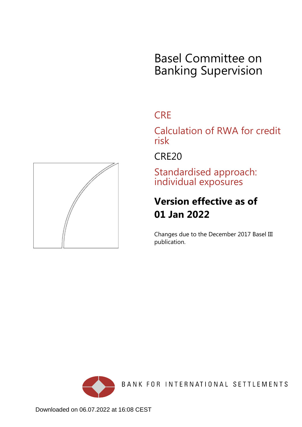# Basel Committee on Banking Supervision

# **CRE**

Calculation of RWA for credit risk

CRE20

Standardised approach: individual exposures

# **Version effective as of 01 Jan 2022**

Changes due to the December 2017 Basel III publication.



BANK FOR INTERNATIONAL SETTLEMENTS

<span id="page-0-0"></span>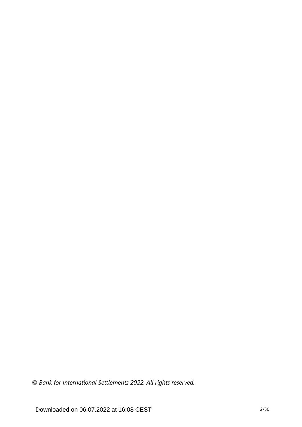*© Bank for International Settlements 2022. All rights reserved.*

Downloaded on 06.07.2022 at 16:08 CEST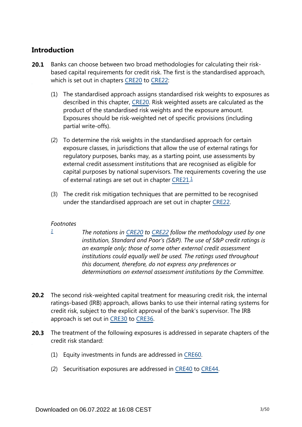# **Introduction**

- Banks can choose between two broad methodologies for calculating their riskbased capital requirements for credit risk. The first is the standardised approach, which is set out in chapters [CRE20](https://www.bis.org/basel_framework/chapter/CRE/20.htm?tldate=20250101&inforce=20220101&published=20191215) to [CRE22](https://www.bis.org/basel_framework/chapter/CRE/22.htm?tldate=20250101&inforce=20230101&published=20201126): **20.1**
	- (1) The standardised approach assigns standardised risk weights to exposures as described in this chapter, [CRE20.](https://www.bis.org/basel_framework/chapter/CRE/20.htm?tldate=20250101&inforce=20220101&published=20191215) Risk weighted assets are calculated as the product of the standardised risk weights and the exposure amount. Exposures should be risk-weighted net of specific provisions (including partial write-offs).
	- (2) To determine the risk weights in the standardised approach for certain exposure classes, in jurisdictions that allow the use of external ratings for regulatory purposes, banks may, as a starting point, use assessments by external credit assessment institutions that are recognised as eligible for capital purposes by national supervisors. The requirements covering the use of external ratings are set out in chapter [CRE21.](https://www.bis.org/basel_framework/chapter/CRE/21.htm?tldate=20250101&inforce=20230101&published=20200327)<sup>[1](#page-2-0)</sup>
	- (3) The credit risk mitigation techniques that are permitted to be recognised under the standardised approach are set out in chapter [CRE22.](https://www.bis.org/basel_framework/chapter/CRE/22.htm?tldate=20250101&inforce=20230101&published=20201126)

# <span id="page-2-1"></span>*Footnotes*

<span id="page-2-0"></span>*[1](#page-2-1)*

- *The notations in [CRE20](https://www.bis.org/basel_framework/chapter/CRE/20.htm?tldate=20250101&inforce=20220101&published=20191215) to [CRE22](https://www.bis.org/basel_framework/chapter/CRE/22.htm?tldate=20250101&inforce=20230101&published=20201126) follow the methodology used by one institution, Standard and Poor's (S&P). The use of S&P credit ratings is an example only; those of some other external credit assessment institutions could equally well be used. The ratings used throughout this document, therefore, do not express any preferences or determinations on external assessment institutions by the Committee.*
- **20.2** The second risk-weighted capital treatment for measuring credit risk, the internal ratings-based (IRB) approach, allows banks to use their internal rating systems for credit risk, subject to the explicit approval of the bank's supervisor. The IRB approach is set out in [CRE30](https://www.bis.org/basel_framework/chapter/CRE/30.htm?tldate=20250101&inforce=20230101&published=20200327) to [CRE36](https://www.bis.org/basel_framework/chapter/CRE/36.htm?tldate=20250101&inforce=20230101&published=20200327).
- The treatment of the following exposures is addressed in separate chapters of the **20.3** credit risk standard:
	- (1) Equity investments in funds are addressed in [CRE60.](https://www.bis.org/basel_framework/chapter/CRE/60.htm?tldate=20250101&inforce=20230101&published=20200327)
	- (2) Securitisation exposures are addressed in [CRE40](https://www.bis.org/basel_framework/chapter/CRE/40.htm?tldate=20250101&inforce=20230101&published=20201126) to [CRE44](https://www.bis.org/basel_framework/chapter/CRE/44.htm?tldate=20250101&inforce=20230101&published=20200327).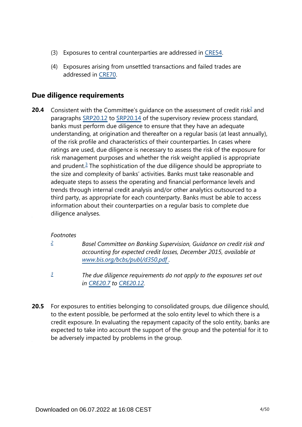- (3) Exposures to central counterparties are addressed in [CRE54.](https://www.bis.org/basel_framework/chapter/CRE/54.htm?tldate=20250101&inforce=20230101&published=20200327)
- (4) Exposures arising from unsettled transactions and failed trades are addressed in [CRE70.](https://www.bis.org/basel_framework/chapter/CRE/70.htm?tldate=20250101&inforce=20191215&published=20191215)

# **Due diligence requirements**

<span id="page-3-3"></span><span id="page-3-2"></span>Consistent with the Committee's guidance on the assessment of credit risk<sup>[2](#page-3-0)</sup> and paragraphs [SRP20.12](https://www.bis.org/basel_framework/chapter/SRP/20.htm?tldate=20250101&inforce=20191215&published=20191215#paragraph_SRP_20_20191215_20_12) to [SRP20.14](https://www.bis.org/basel_framework/chapter/SRP/20.htm?tldate=20250101&inforce=20191215&published=20191215#paragraph_SRP_20_20191215_20_14) of the supervisory review process standard, banks must perform due diligence to ensure that they have an adequate understanding, at origination and thereafter on a regular basis (at least annually), of the risk profile and characteristics of their counterparties. In cases where ratings are used, due diligence is necessary to assess the risk of the exposure for risk management purposes and whether the risk weight applied is appropriate and prudent.<sup>[3](#page-3-1)</sup> The sophistication of the due diligence should be appropriate to the size and complexity of banks' activities. Banks must take reasonable and adequate steps to assess the operating and financial performance levels and trends through internal credit analysis and/or other analytics outsourced to a third party, as appropriate for each counterparty. Banks must be able to access information about their counterparties on a regular basis to complete due diligence analyses. **20.4**

# *Footnotes*

<span id="page-3-0"></span>*[2](#page-3-2)*

*Basel Committee on Banking Supervision, Guidance on credit risk and accounting for expected credit losses, December 2015, available at [www.bis.org/bcbs/publ/d350.pdf](https://www.bis.org/bcbs/publ/d350.pdf) .*

- *The due diligence requirements do not apply to the exposures set out in [CRE20.7](https://www.bis.org/basel_framework/chapter/CRE/20.htm?tldate=20250101&inforce=20220101&published=20191215#paragraph_CRE_20_20220101_20_7) to [CRE20.12.](https://www.bis.org/basel_framework/chapter/CRE/20.htm?tldate=20250101&inforce=20220101&published=20191215#paragraph_CRE_20_20220101_20_12) [3](#page-3-3)*
- <span id="page-3-1"></span>For exposures to entities belonging to consolidated groups, due diligence should, to the extent possible, be performed at the solo entity level to which there is a credit exposure. In evaluating the repayment capacity of the solo entity, banks are expected to take into account the support of the group and the potential for it to be adversely impacted by problems in the group. **20.5**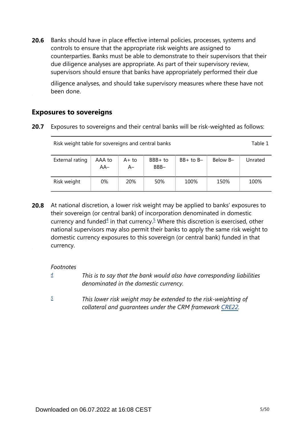Banks should have in place effective internal policies, processes, systems and controls to ensure that the appropriate risk weights are assigned to counterparties. Banks must be able to demonstrate to their supervisors that their due diligence analyses are appropriate. As part of their supervisory review, supervisors should ensure that banks have appropriately performed their due **20.6**

diligence analyses, and should take supervisory measures where these have not been done.

# **Exposures to sovereigns**

**20.7** Exposures to sovereigns and their central banks will be risk-weighted as follows:

| Risk weight table for sovereigns and central banks |                 |                |                 |               |          |         |  |  |
|----------------------------------------------------|-----------------|----------------|-----------------|---------------|----------|---------|--|--|
| External rating                                    | AAA to<br>$AA-$ | $A+to$<br>$A-$ | BBB+ to<br>BBB- | $BB+$ to $B-$ | Below B- | Unrated |  |  |
| Risk weight                                        | 0%              | <b>20%</b>     | 50%             | 100%          | 150%     | 100%    |  |  |

<span id="page-4-2"></span>At national discretion, a lower risk weight may be applied to banks' exposures to their sovereign (or central bank) of incorporation denominated in domestic currency and funded $4$  in that currency.<sup>[5](#page-4-1)</sup> Where this discretion is exercised, other national supervisors may also permit their banks to apply the same risk weight to domestic currency exposures to this sovereign (or central bank) funded in that currency. **20.8**

*Footnotes*

- <span id="page-4-0"></span>*This is to say that the bank would also have corresponding liabilities denominated in the domestic currency. [4](#page-4-2)*
- <span id="page-4-1"></span>*This lower risk weight may be extended to the risk-weighting of collateral and guarantees under the CRM framework [CRE22.](https://www.bis.org/basel_framework/chapter/CRE/22.htm?tldate=20250101&inforce=20230101&published=20201126) [5](#page-4-2)*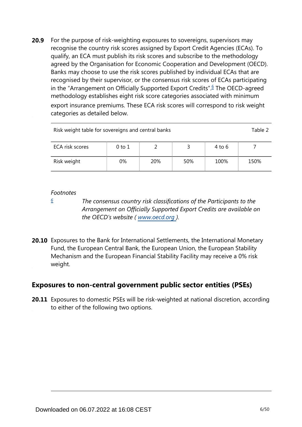<span id="page-5-1"></span>For the purpose of risk-weighting exposures to sovereigns, supervisors may recognise the country risk scores assigned by Export Credit Agencies (ECAs). To qualify, an ECA must publish its risk scores and subscribe to the methodology agreed by the Organisation for Economic Cooperation and Development (OECD). Banks may choose to use the risk scores published by individual ECAs that are recognised by their supervisor, or the consensus risk scores of ECAs participating in the "Arrangement on Officially Supported Export Credits".<sup>[6](#page-5-0)</sup> The OECD-agreed methodology establishes eight risk score categories associated with minimum export insurance premiums. These ECA risk scores will correspond to risk weight categories as detailed below. **20.9**

| Risk weight table for sovereigns and central banks |    |     |     |      |      |  |  |  |
|----------------------------------------------------|----|-----|-----|------|------|--|--|--|
| ECA risk scores<br>0 to 1<br>4 to 6                |    |     |     |      |      |  |  |  |
| Risk weight                                        | 0% | 20% | 50% | 100% | 150% |  |  |  |

#### *Footnotes*

<span id="page-5-0"></span>*[6](#page-5-1)*

*The consensus country risk classifications of the Participants to the Arrangement on Officially Supported Export Credits are available on the OECD's website ( www.oecd.org ).*

**20.10** Exposures to the Bank for International Settlements, the International Monetary Fund, the European Central Bank, the European Union, the European Stability Mechanism and the European Financial Stability Facility may receive a 0% risk weight.

# **Exposures to non-central government public sector entities (PSEs)**

**20.11** Exposures to domestic PSEs will be risk-weighted at national discretion, according to either of the following two options.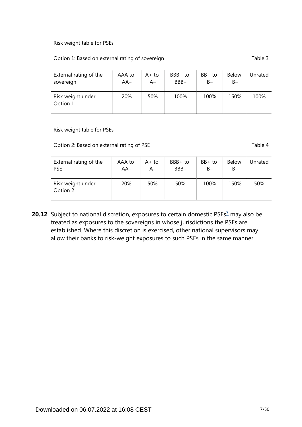#### Risk weight table for PSEs

#### Option 1: Based on external rating of sovereign Table 3

| External rating of the        | AAA to | $A+to$ | $BBB+to$ | $BB+$ to | <b>Below</b> | Unrated |
|-------------------------------|--------|--------|----------|----------|--------------|---------|
| sovereign                     | $AA-$  | A–     | BBB-     | $B -$    | $B -$        |         |
| Risk weight under<br>Option 1 | 20%    | 50%    | 100%     | 100%     | 150%         | 100%    |

Risk weight table for PSEs

Option 2: Based on external rating of PSE Table 4

| External rating of the        | AAA to | A+ to | $BBB+to$ | $BB+$ to | <b>Below</b> | Unrated |
|-------------------------------|--------|-------|----------|----------|--------------|---------|
| <b>PSE</b>                    | $AA-$  | A–    | BBB-     | $B -$    | $B -$        |         |
| Risk weight under<br>Option 2 | 20%    | 50%   | 50%      | 100%     | 150%         | 50%     |

<span id="page-6-0"></span>**20.12** Subject to national discretion, exposures to certain domestic PSEs<sup>[7](#page-7-0)</sup> may also be treated as exposures to the sovereigns in whose jurisdictions the PSEs are established. Where this discretion is exercised, other national supervisors may allow their banks to risk-weight exposures to such PSEs in the same manner.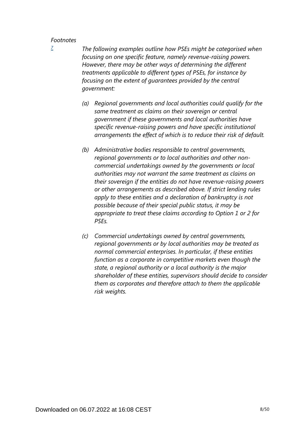<span id="page-7-0"></span>*[7](#page-6-0)*

*The following examples outline how PSEs might be categorised when focusing on one specific feature, namely revenue-raising powers. However, there may be other ways of determining the different treatments applicable to different types of PSEs, for instance by focusing on the extent of guarantees provided by the central government:*

- *(a) Regional governments and local authorities could qualify for the same treatment as claims on their sovereign or central government if these governments and local authorities have specific revenue-raising powers and have specific institutional arrangements the effect of which is to reduce their risk of default.*
- *(b) Administrative bodies responsible to central governments, regional governments or to local authorities and other noncommercial undertakings owned by the governments or local authorities may not warrant the same treatment as claims on their sovereign if the entities do not have revenue-raising powers or other arrangements as described above. If strict lending rules apply to these entities and a declaration of bankruptcy is not possible because of their special public status, it may be appropriate to treat these claims according to Option 1 or 2 for PSEs.*
- *(c) Commercial undertakings owned by central governments, regional governments or by local authorities may be treated as normal commercial enterprises. In particular, if these entities function as a corporate in competitive markets even though the state, a regional authority or a local authority is the major shareholder of these entities, supervisors should decide to consider them as corporates and therefore attach to them the applicable risk weights.*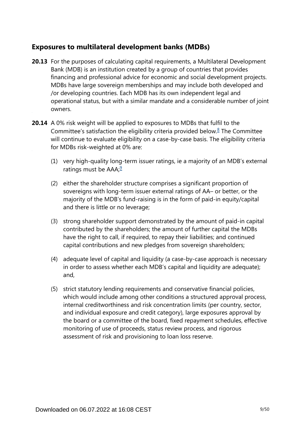# **Exposures to multilateral development banks (MDBs)**

- **20.13** For the purposes of calculating capital requirements, a Multilateral Development Bank (MDB) is an institution created by a group of countries that provides financing and professional advice for economic and social development projects. MDBs have large sovereign memberships and may include both developed and /or developing countries. Each MDB has its own independent legal and operational status, but with a similar mandate and a considerable number of joint owners.
- <span id="page-8-1"></span><span id="page-8-0"></span>**20.14** A 0% risk weight will be applied to exposures to MDBs that fulfil to the Committee's satisfaction the eligibility criteria provided below. $8$  The Committee will continue to evaluate eligibility on a case-by-case basis. The eligibility criteria for MDBs risk-weighted at 0% are:
	- (1) very high-quality long-term issuer ratings, ie a majority of an MDB's external ratings must be  $AAA$ ;<sup>[9](#page-9-1)</sup>
	- (2) either the shareholder structure comprises a significant proportion of sovereigns with long-term issuer external ratings of AA– or better, or the majority of the MDB's fund-raising is in the form of paid-in equity/capital and there is little or no leverage;
	- (3) strong shareholder support demonstrated by the amount of paid-in capital contributed by the shareholders; the amount of further capital the MDBs have the right to call, if required, to repay their liabilities; and continued capital contributions and new pledges from sovereign shareholders;
	- (4) adequate level of capital and liquidity (a case-by-case approach is necessary in order to assess whether each MDB's capital and liquidity are adequate); and,
	- (5) strict statutory lending requirements and conservative financial policies, which would include among other conditions a structured approval process, internal creditworthiness and risk concentration limits (per country, sector, and individual exposure and credit category), large exposures approval by the board or a committee of the board, fixed repayment schedules, effective monitoring of use of proceeds, status review process, and rigorous assessment of risk and provisioning to loan loss reserve.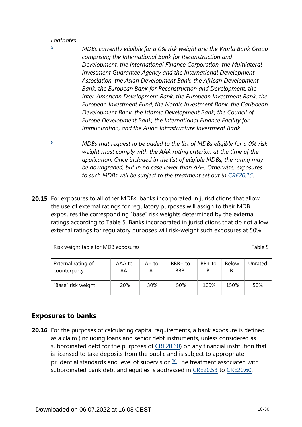<span id="page-9-0"></span>*[8](#page-8-0)*

- *MDBs currently eligible for a 0% risk weight are: the World Bank Group comprising the International Bank for Reconstruction and Development, the International Finance Corporation, the Multilateral Investment Guarantee Agency and the International Development Association, the Asian Development Bank, the African Development Bank, the European Bank for Reconstruction and Development, the Inter-American Development Bank, the European Investment Bank, the European Investment Fund, the Nordic Investment Bank, the Caribbean Development Bank, the Islamic Development Bank, the Council of Europe Development Bank, the International Finance Facility for Immunization, and the Asian Infrastructure Investment Bank.*
- <span id="page-9-1"></span>*MDBs that request to be added to the list of MDBs eligible for a 0% risk weight must comply with the AAA rating criterion at the time of the application. Once included in the list of eligible MDBs, the rating may be downgraded, but in no case lower than AA–. Otherwise, exposures*  to such MDBs will be subject to the treatment set out in [CRE20.15.](https://www.bis.org/basel_framework/chapter/CRE/20.htm?tldate=20250101&inforce=20220101&published=20191215#paragraph_CRE_20_20220101_20_15) *[9](#page-8-1)*
- **20.15** For exposures to all other MDBs, banks incorporated in jurisdictions that allow the use of external ratings for regulatory purposes will assign to their MDB exposures the corresponding "base" risk weights determined by the external ratings according to Table 5. Banks incorporated in jurisdictions that do not allow external ratings for regulatory purposes will risk-weight such exposures at 50%.

Risk weight table for MDB exposures Table 5

| External rating of | AAA to | A+ to | BBB+ to | $BB+$ to | <b>Below</b> | Unrated |
|--------------------|--------|-------|---------|----------|--------------|---------|
| counterparty       | $AA-$  | A–    | BBB-    | B-       | $B-$         |         |
| "Base" risk weight | 20%    | 30%   | 50%     | 100%     | 150%         | 50%     |

# **Exposures to banks**

<span id="page-9-2"></span>**20.16** For the purposes of calculating capital requirements, a bank exposure is defined as a claim (including loans and senior debt instruments, unless considered as subordinated debt for the purposes of [CRE20.60](https://www.bis.org/basel_framework/chapter/CRE/20.htm?tldate=20250101&inforce=20220101&published=20191215#paragraph_CRE_20_20220101_20_60)) on any financial institution that is licensed to take deposits from the public and is subject to appropriate prudential standards and level of supervision. $10$  The treatment associated with subordinated bank debt and equities is addressed in [CRE20.53](https://www.bis.org/basel_framework/chapter/CRE/20.htm?tldate=20250101&inforce=20220101&published=20191215#paragraph_CRE_20_20220101_20_53) to [CRE20.60](https://www.bis.org/basel_framework/chapter/CRE/20.htm?tldate=20250101&inforce=20220101&published=20191215#paragraph_CRE_20_20220101_20_60).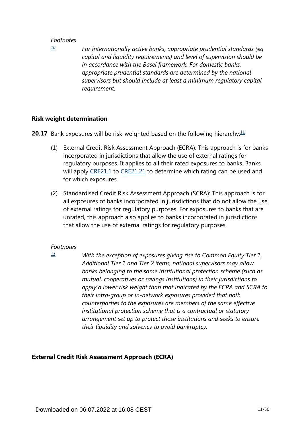<span id="page-10-0"></span>*[10](#page-9-2)*

*For internationally active banks, appropriate prudential standards (eg capital and liquidity requirements) and level of supervision should be in accordance with the Basel framework. For domestic banks, appropriate prudential standards are determined by the national supervisors but should include at least a minimum regulatory capital requirement.*

### **Risk weight determination**

<span id="page-10-2"></span>**20.17** Bank exposures will be risk-weighted based on the following hierarchy:<sup>[11](#page-10-1)</sup>

- (1) External Credit Risk Assessment Approach (ECRA): This approach is for banks incorporated in jurisdictions that allow the use of external ratings for regulatory purposes. It applies to all their rated exposures to banks. Banks will apply [CRE21.1](https://www.bis.org/basel_framework/chapter/CRE/21.htm?tldate=20250101&inforce=20230101&published=20200327#paragraph_CRE_21_20230101_21_1) to [CRE21.21](https://www.bis.org/basel_framework/chapter/CRE/21.htm?tldate=20250101&inforce=20230101&published=20200327#paragraph_CRE_21_20230101_21_21) to determine which rating can be used and for which exposures.
- (2) Standardised Credit Risk Assessment Approach (SCRA): This approach is for all exposures of banks incorporated in jurisdictions that do not allow the use of external ratings for regulatory purposes. For exposures to banks that are unrated, this approach also applies to banks incorporated in jurisdictions that allow the use of external ratings for regulatory purposes.

#### *Footnotes*

*With the exception of exposures giving rise to Common Equity Tier 1, Additional Tier 1 and Tier 2 items, national supervisors may allow banks belonging to the same institutional protection scheme (such as mutual, cooperatives or savings institutions) in their jurisdictions to apply a lower risk weight than that indicated by the ECRA and SCRA to their intra-group or in-network exposures provided that both counterparties to the exposures are members of the same effective institutional protection scheme that is a contractual or statutory arrangement set up to protect those institutions and seeks to ensure their liquidity and solvency to avoid bankruptcy.*

# **External Credit Risk Assessment Approach (ECRA)**

<span id="page-10-1"></span>*[<sup>11</sup>](#page-10-2)*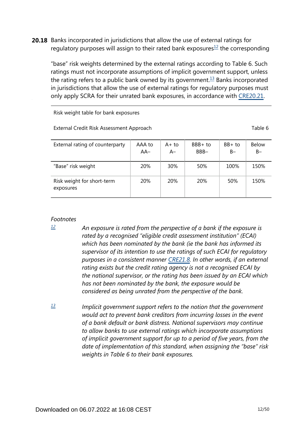<span id="page-11-3"></span><span id="page-11-2"></span>**20.18** Banks incorporated in jurisdictions that allow the use of external ratings for regulatory purposes will assign to their rated bank exposures $1/2$  the corresponding

"base" risk weights determined by the external ratings according to Table 6. Such ratings must not incorporate assumptions of implicit government support, unless the rating refers to a public bank owned by its government.<sup>[13](#page-11-1)</sup> Banks incorporated in jurisdictions that allow the use of external ratings for regulatory purposes must only apply SCRA for their unrated bank exposures, in accordance with [CRE20.21.](https://www.bis.org/basel_framework/chapter/CRE/20.htm?tldate=20250101&inforce=20220101&published=20191215#paragraph_CRE_20_20220101_20_21)

Risk weight table for bank exposures

External Credit Risk Assessment Approach Table 6

| External rating of counterparty         | AAA to<br>AA- | A+ to<br>$A-$ | BBB+ to<br>BBB- | $BB+$ to<br>$B -$ | <b>Below</b><br>$B -$ |
|-----------------------------------------|---------------|---------------|-----------------|-------------------|-----------------------|
| "Base" risk weight                      | 20%           | 30%           | 50%             | 100%              | 150%                  |
| Risk weight for short-term<br>exposures | <b>20%</b>    | 20%           | <b>20%</b>      | 50%               | 150%                  |

#### *Footnotes*

<span id="page-11-0"></span>*[12](#page-11-2)*

- *An exposure is rated from the perspective of a bank if the exposure is rated by a recognised "eligible credit assessment institution" (ECAI) which has been nominated by the bank (ie the bank has informed its supervisor of its intention to use the ratings of such ECAI for regulatory purposes in a consistent manner [CRE21.8](https://www.bis.org/basel_framework/chapter/CRE/21.htm?tldate=20250101&inforce=20230101&published=20200327#paragraph_CRE_21_20230101_21_8). In other words, if an external rating exists but the credit rating agency is not a recognised ECAI by the national supervisor, or the rating has been issued by an ECAI which has not been nominated by the bank, the exposure would be considered as being unrated from the perspective of the bank.*
- <span id="page-11-1"></span>*Implicit government support refers to the notion that the government would act to prevent bank creditors from incurring losses in the event of a bank default or bank distress. National supervisors may continue to allow banks to use external ratings which incorporate assumptions of implicit government support for up to a period of five years, from the date of implementation of this standard, when assigning the "base" risk weights in Table 6 to their bank exposures. [13](#page-11-3)*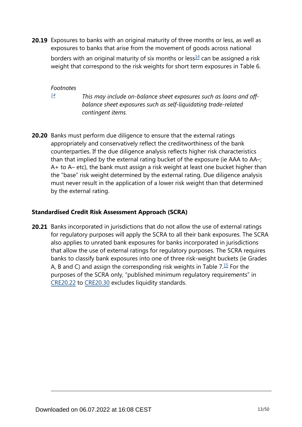<span id="page-12-1"></span>**20.19** Exposures to banks with an original maturity of three months or less, as well as exposures to banks that arise from the movement of goods across national

borders with an original maturity of six months or less $\frac{14}{1}$  $\frac{14}{1}$  $\frac{14}{1}$  can be assigned a risk weight that correspond to the risk weights for short term exposures in Table 6.

*Footnotes*

<span id="page-12-0"></span>*[14](#page-12-1)*

*This may include on-balance sheet exposures such as loans and offbalance sheet exposures such as self-liquidating trade-related contingent items.*

**20.20** Banks must perform due diligence to ensure that the external ratings appropriately and conservatively reflect the creditworthiness of the bank counterparties. If the due diligence analysis reflects higher risk characteristics than that implied by the external rating bucket of the exposure (ie AAA to AA–; A+ to A– etc), the bank must assign a risk weight at least one bucket higher than the "base" risk weight determined by the external rating. Due diligence analysis must never result in the application of a lower risk weight than that determined by the external rating.

# **Standardised Credit Risk Assessment Approach (SCRA)**

<span id="page-12-2"></span>**20.21** Banks incorporated in jurisdictions that do not allow the use of external ratings for regulatory purposes will apply the SCRA to all their bank exposures. The SCRA also applies to unrated bank exposures for banks incorporated in jurisdictions that allow the use of external ratings for regulatory purposes. The SCRA requires banks to classify bank exposures into one of three risk-weight buckets (ie Grades A, B and C) and assign the corresponding risk weights in Table  $7.\overline{15}$  $7.\overline{15}$  $7.\overline{15}$  For the purposes of the SCRA only, "published minimum regulatory requirements" in [CRE20.22](https://www.bis.org/basel_framework/chapter/CRE/20.htm?tldate=20250101&inforce=20220101&published=20191215#paragraph_CRE_20_20220101_20_22) to [CRE20.30](https://www.bis.org/basel_framework/chapter/CRE/20.htm?tldate=20250101&inforce=20220101&published=20191215#paragraph_CRE_20_20220101_20_30) excludes liquidity standards.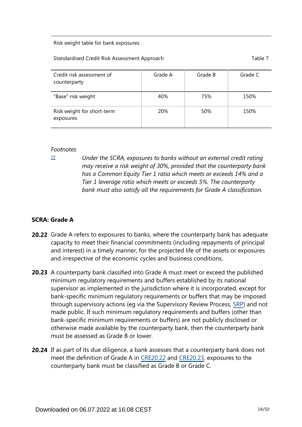#### Risk weight table for bank exposures

#### Standardised Credit Risk Assessment Approach Table 7 and Table 7

| Credit risk assessment of<br>counterparty | Grade A    | Grade B | Grade C |
|-------------------------------------------|------------|---------|---------|
| "Base" risk weight                        | 40%        | 75%     | 150%    |
| Risk weight for short-term<br>exposures   | <b>20%</b> | 50%     | 150%    |

#### *Footnotes*

<span id="page-13-0"></span>*[15](#page-12-2)*

*Under the SCRA, exposures to banks without an external credit rating may receive a risk weight of 30%, provided that the counterparty bank has a Common Equity Tier 1 ratio which meets or exceeds 14% and a Tier 1 leverage ratio which meets or exceeds 5%. The counterparty bank must also satisfy all the requirements for Grade A classification.*

# **SCRA: Grade A**

- **20.22** Grade A refers to exposures to banks, where the counterparty bank has adequate capacity to meet their financial commitments (including repayments of principal and interest) in a timely manner, for the projected life of the assets or exposures and irrespective of the economic cycles and business conditions.
- **20.23** A counterparty bank classified into Grade A must meet or exceed the published minimum regulatory requirements and buffers established by its national supervisor as implemented in the jurisdiction where it is incorporated, except for bank-specific minimum regulatory requirements or buffers that may be imposed through supervisory actions (eg via the Supervisory Review Process, [SRP\)](https://www.bis.org/basel_framework/standard/SRP.htm?tldate=20250101) and not made public. If such minimum regulatory requirements and buffers (other than bank-specific minimum requirements or buffers) are not publicly disclosed or otherwise made available by the counterparty bank, then the counterparty bank must be assessed as Grade B or lower.
- **20.24** If as part of its due diligence, a bank assesses that a counterparty bank does not meet the definition of Grade A in [CRE20.22](https://www.bis.org/basel_framework/chapter/CRE/20.htm?tldate=20250101&inforce=20220101&published=20191215#paragraph_CRE_20_20220101_20_22) and [CRE20.23](https://www.bis.org/basel_framework/chapter/CRE/20.htm?tldate=20250101&inforce=20220101&published=20191215#paragraph_CRE_20_20220101_20_23), exposures to the counterparty bank must be classified as Grade B or Grade C.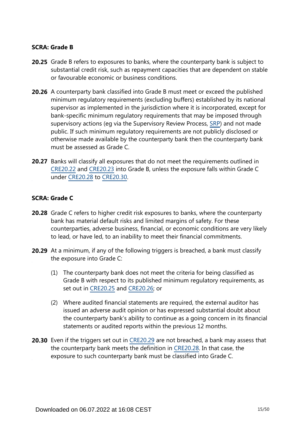## **SCRA: Grade B**

- **20.25** Grade B refers to exposures to banks, where the counterparty bank is subject to substantial credit risk, such as repayment capacities that are dependent on stable or favourable economic or business conditions.
- **20.26** A counterparty bank classified into Grade B must meet or exceed the published minimum regulatory requirements (excluding buffers) established by its national supervisor as implemented in the jurisdiction where it is incorporated, except for bank-specific minimum regulatory requirements that may be imposed through supervisory actions (eg via the Supervisory Review Process, [SRP\)](https://www.bis.org/basel_framework/standard/SRP.htm?tldate=20250101) and not made public. If such minimum regulatory requirements are not publicly disclosed or otherwise made available by the counterparty bank then the counterparty bank must be assessed as Grade C.
- **20.27** Banks will classify all exposures that do not meet the requirements outlined in [CRE20.22](https://www.bis.org/basel_framework/chapter/CRE/20.htm?tldate=20250101&inforce=20220101&published=20191215#paragraph_CRE_20_20220101_20_22) and [CRE20.23](https://www.bis.org/basel_framework/chapter/CRE/20.htm?tldate=20250101&inforce=20220101&published=20191215#paragraph_CRE_20_20220101_20_23) into Grade B, unless the exposure falls within Grade C under [CRE20.28](https://www.bis.org/basel_framework/chapter/CRE/20.htm?tldate=20250101&inforce=20220101&published=20191215#paragraph_CRE_20_20220101_20_28) to [CRE20.30.](https://www.bis.org/basel_framework/chapter/CRE/20.htm?tldate=20250101&inforce=20220101&published=20191215#paragraph_CRE_20_20220101_20_30)

### **SCRA: Grade C**

- **20.28** Grade C refers to higher credit risk exposures to banks, where the counterparty bank has material default risks and limited margins of safety. For these counterparties, adverse business, financial, or economic conditions are very likely to lead, or have led, to an inability to meet their financial commitments.
- **20.29** At a minimum, if any of the following triggers is breached, a bank must classify the exposure into Grade C:
	- (1) The counterparty bank does not meet the criteria for being classified as Grade B with respect to its published minimum regulatory requirements, as set out in [CRE20.25](https://www.bis.org/basel_framework/chapter/CRE/20.htm?tldate=20250101&inforce=20220101&published=20191215#paragraph_CRE_20_20220101_20_25) and [CRE20.26](https://www.bis.org/basel_framework/chapter/CRE/20.htm?tldate=20250101&inforce=20220101&published=20191215#paragraph_CRE_20_20220101_20_26); or
	- (2) Where audited financial statements are required, the external auditor has issued an adverse audit opinion or has expressed substantial doubt about the counterparty bank's ability to continue as a going concern in its financial statements or audited reports within the previous 12 months.
- **20.30** Even if the triggers set out in [CRE20.29](https://www.bis.org/basel_framework/chapter/CRE/20.htm?tldate=20250101&inforce=20220101&published=20191215#paragraph_CRE_20_20220101_20_29) are not breached, a bank may assess that the counterparty bank meets the definition in [CRE20.28](https://www.bis.org/basel_framework/chapter/CRE/20.htm?tldate=20250101&inforce=20220101&published=20191215#paragraph_CRE_20_20220101_20_28). In that case, the exposure to such counterparty bank must be classified into Grade C.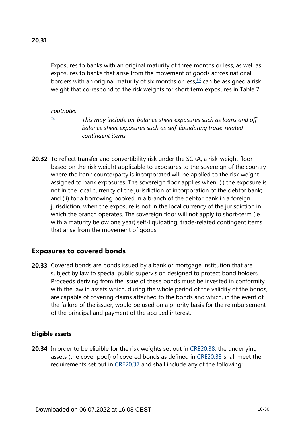<span id="page-15-1"></span>Exposures to banks with an original maturity of three months or less, as well as exposures to banks that arise from the movement of goods across national borders with an original maturity of six months or less, $16$  can be assigned a risk weight that correspond to the risk weights for short term exposures in Table 7.

#### *Footnotes*

<span id="page-15-0"></span>*[16](#page-15-1)*

*This may include on-balance sheet exposures such as loans and offbalance sheet exposures such as self-liquidating trade-related contingent items.*

**20.32** To reflect transfer and convertibility risk under the SCRA, a risk-weight floor based on the risk weight applicable to exposures to the sovereign of the country where the bank counterparty is incorporated will be applied to the risk weight assigned to bank exposures. The sovereign floor applies when: (i) the exposure is not in the local currency of the jurisdiction of incorporation of the debtor bank; and (ii) for a borrowing booked in a branch of the debtor bank in a foreign jurisdiction, when the exposure is not in the local currency of the jurisdiction in which the branch operates. The sovereign floor will not apply to short-term (ie with a maturity below one year) self-liquidating, trade-related contingent items that arise from the movement of goods.

# **Exposures to covered bonds**

**20.33** Covered bonds are bonds issued by a bank or mortgage institution that are subject by law to special public supervision designed to protect bond holders. Proceeds deriving from the issue of these bonds must be invested in conformity with the law in assets which, during the whole period of the validity of the bonds, are capable of covering claims attached to the bonds and which, in the event of the failure of the issuer, would be used on a priority basis for the reimbursement of the principal and payment of the accrued interest.

# **Eligible assets**

**20.34** In order to be eligible for the risk weights set out in [CRE20.38,](https://www.bis.org/basel_framework/chapter/CRE/20.htm?tldate=20250101&inforce=20220101&published=20191215#paragraph_CRE_20_20220101_20_38) the underlying assets (the cover pool) of covered bonds as defined in [CRE20.33](https://www.bis.org/basel_framework/chapter/CRE/20.htm?tldate=20250101&inforce=20220101&published=20191215#paragraph_CRE_20_20220101_20_33) shall meet the requirements set out in [CRE20.37](https://www.bis.org/basel_framework/chapter/CRE/20.htm?tldate=20250101&inforce=20220101&published=20191215#paragraph_CRE_20_20220101_20_37) and shall include any of the following: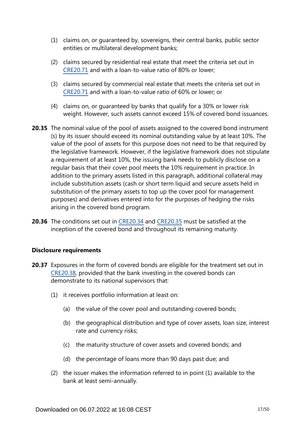- (1) claims on, or guaranteed by, sovereigns, their central banks, public sector entities or multilateral development banks;
- (2) claims secured by residential real estate that meet the criteria set out in [CRE20.71](https://www.bis.org/basel_framework/chapter/CRE/20.htm?tldate=20250101&inforce=20220101&published=20191215#paragraph_CRE_20_20220101_20_71) and with a loan-to-value ratio of 80% or lower;
- (3) claims secured by commercial real estate that meets the criteria set out in [CRE20.71](https://www.bis.org/basel_framework/chapter/CRE/20.htm?tldate=20250101&inforce=20220101&published=20191215#paragraph_CRE_20_20220101_20_71) and with a loan-to-value ratio of 60% or lower; or
- (4) claims on, or guaranteed by banks that qualify for a 30% or lower risk weight. However, such assets cannot exceed 15% of covered bond issuances.
- **20.35** The nominal value of the pool of assets assigned to the covered bond instrument (s) by its issuer should exceed its nominal outstanding value by at least 10%. The value of the pool of assets for this purpose does not need to be that required by the legislative framework. However, if the legislative framework does not stipulate a requirement of at least 10%, the issuing bank needs to publicly disclose on a regular basis that their cover pool meets the 10% requirement in practice. In addition to the primary assets listed in this paragraph, additional collateral may include substitution assets (cash or short term liquid and secure assets held in substitution of the primary assets to top up the cover pool for management purposes) and derivatives entered into for the purposes of hedging the risks arising in the covered bond program.
- **20.36** The conditions set out in [CRE20.34](https://www.bis.org/basel_framework/chapter/CRE/20.htm?tldate=20250101&inforce=20220101&published=20191215#paragraph_CRE_20_20220101_20_34) and [CRE20.35](https://www.bis.org/basel_framework/chapter/CRE/20.htm?tldate=20250101&inforce=20220101&published=20191215#paragraph_CRE_20_20220101_20_35) must be satisfied at the inception of the covered bond and throughout its remaining maturity.

# **Disclosure requirements**

- **20.37** Exposures in the form of covered bonds are eligible for the treatment set out in [CRE20.38](https://www.bis.org/basel_framework/chapter/CRE/20.htm?tldate=20250101&inforce=20220101&published=20191215#paragraph_CRE_20_20220101_20_38), provided that the bank investing in the covered bonds can demonstrate to its national supervisors that:
	- (1) it receives portfolio information at least on:
		- (a) the value of the cover pool and outstanding covered bonds;
		- (b) the geographical distribution and type of cover assets, loan size, interest rate and currency risks;
		- (c) the maturity structure of cover assets and covered bonds; and
		- (d) the percentage of loans more than 90 days past due; and
	- (2) the issuer makes the information referred to in point (1) available to the bank at least semi-annually.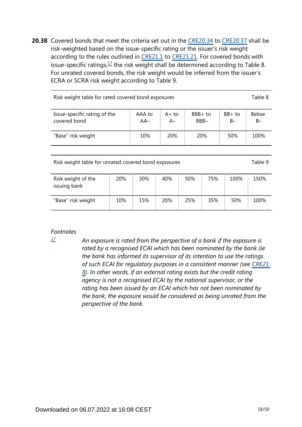<span id="page-17-1"></span>**20.38** Covered bonds that meet the criteria set out in the [CRE20.34](https://www.bis.org/basel_framework/chapter/CRE/20.htm?tldate=20250101&inforce=20220101&published=20191215#paragraph_CRE_20_20220101_20_34) to [CRE20.37](https://www.bis.org/basel_framework/chapter/CRE/20.htm?tldate=20250101&inforce=20220101&published=20191215#paragraph_CRE_20_20220101_20_37) shall be risk-weighted based on the issue-specific rating or the issuer's risk weight according to the rules outlined in [CRE21.1](https://www.bis.org/basel_framework/chapter/CRE/21.htm?tldate=20250101&inforce=20230101&published=20200327#paragraph_CRE_21_20230101_21_1) to [CRE21.21](https://www.bis.org/basel_framework/chapter/CRE/21.htm?tldate=20250101&inforce=20230101&published=20200327#paragraph_CRE_21_20230101_21_21). For covered bonds with issue-specific ratings,  $\frac{17}{1}$  $\frac{17}{1}$  $\frac{17}{1}$  the risk weight shall be determined according to Table 8. For unrated covered bonds, the risk weight would be inferred from the issuer's ECRA or SCRA risk weight according to Table 9.

| Risk weight table for rated covered bond exposures |                 |                |                    |                   |                       |  |  |  |
|----------------------------------------------------|-----------------|----------------|--------------------|-------------------|-----------------------|--|--|--|
| Issue-specific rating of the<br>covered bond       | AAA to<br>$AA-$ | $A+to$<br>$A-$ | $BBB + to$<br>BBB- | $BB+$ to<br>$B -$ | <b>Below</b><br>$B -$ |  |  |  |
| "Base" risk weight                                 | 10%             | <b>20%</b>     | 20%                | 50%               | 100%                  |  |  |  |

Risk weight table for unrated covered bond exposures Table 9

| Risk weight of the<br>issuing bank | 20% | 30% | 40% | 50% | 75% | 100% | 150% |
|------------------------------------|-----|-----|-----|-----|-----|------|------|
| "Base" risk weight                 | 10% | 15% | 20% | 25% | 35% | 50%  | 100% |

#### *Footnotes*

<span id="page-17-0"></span>*[17](#page-17-1)*

*An exposure is rated from the perspective of a bank if the exposure is rated by a recognised ECAI which has been nominated by the bank (ie the bank has informed its supervisor of its intention to use the ratings of such ECAI for regulatory purposes in a consistent manner (see [CRE21.](https://www.bis.org/basel_framework/chapter/CRE/21.htm?tldate=20250101&inforce=20230101&published=20200327#paragraph_CRE_21_20230101_21_8) [8](https://www.bis.org/basel_framework/chapter/CRE/21.htm?tldate=20250101&inforce=20230101&published=20200327#paragraph_CRE_21_20230101_21_8)). In other words, if an external rating exists but the credit rating agency is not a recognised ECAI by the national supervisor, or the rating has been issued by an ECAI which has not been nominated by the bank, the exposure would be considered as being unrated from the perspective of the bank.*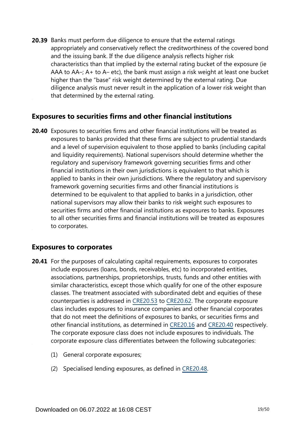**20.39** Banks must perform due diligence to ensure that the external ratings appropriately and conservatively reflect the creditworthiness of the covered bond and the issuing bank. If the due diligence analysis reflects higher risk characteristics than that implied by the external rating bucket of the exposure (ie AAA to AA–; A+ to A– etc), the bank must assign a risk weight at least one bucket higher than the "base" risk weight determined by the external rating. Due diligence analysis must never result in the application of a lower risk weight than that determined by the external rating.

# **Exposures to securities firms and other financial institutions**

**20.40** Exposures to securities firms and other financial institutions will be treated as exposures to banks provided that these firms are subject to prudential standards and a level of supervision equivalent to those applied to banks (including capital and liquidity requirements). National supervisors should determine whether the regulatory and supervisory framework governing securities firms and other financial institutions in their own jurisdictions is equivalent to that which is applied to banks in their own jurisdictions. Where the regulatory and supervisory framework governing securities firms and other financial institutions is determined to be equivalent to that applied to banks in a jurisdiction, other national supervisors may allow their banks to risk weight such exposures to securities firms and other financial institutions as exposures to banks. Exposures to all other securities firms and financial institutions will be treated as exposures to corporates.

# **Exposures to corporates**

- **20.41** For the purposes of calculating capital requirements, exposures to corporates include exposures (loans, bonds, receivables, etc) to incorporated entities, associations, partnerships, proprietorships, trusts, funds and other entities with similar characteristics, except those which qualify for one of the other exposure classes. The treatment associated with subordinated debt and equities of these counterparties is addressed in [CRE20.53](https://www.bis.org/basel_framework/chapter/CRE/20.htm?tldate=20250101&inforce=20220101&published=20191215#paragraph_CRE_20_20220101_20_53) to [CRE20.62](https://www.bis.org/basel_framework/chapter/CRE/20.htm?tldate=20250101&inforce=20220101&published=20191215#paragraph_CRE_20_20220101_20_62). The corporate exposure class includes exposures to insurance companies and other financial corporates that do not meet the definitions of exposures to banks, or securities firms and other financial institutions, as determined in [CRE20.16](https://www.bis.org/basel_framework/chapter/CRE/20.htm?tldate=20250101&inforce=20220101&published=20191215#paragraph_CRE_20_20220101_20_16) and [CRE20.40](https://www.bis.org/basel_framework/chapter/CRE/20.htm?tldate=20250101&inforce=20220101&published=20191215#paragraph_CRE_20_20220101_20_40) respectively. The corporate exposure class does not include exposures to individuals. The corporate exposure class differentiates between the following subcategories:
	- (1) General corporate exposures;
	- (2) Specialised lending exposures, as defined in [CRE20.48](https://www.bis.org/basel_framework/chapter/CRE/20.htm?tldate=20250101&inforce=20220101&published=20191215#paragraph_CRE_20_20220101_20_48).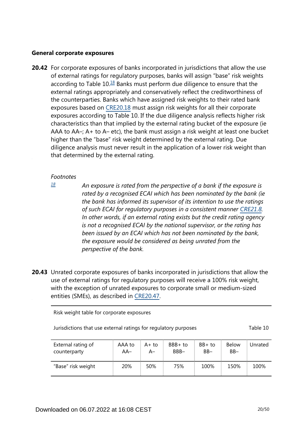### **General corporate exposures**

<span id="page-19-1"></span>**20.42** For corporate exposures of banks incorporated in jurisdictions that allow the use of external ratings for regulatory purposes, banks will assign "base" risk weights according to Table  $10<sup>18</sup>$  $10<sup>18</sup>$  $10<sup>18</sup>$  Banks must perform due diligence to ensure that the external ratings appropriately and conservatively reflect the creditworthiness of the counterparties. Banks which have assigned risk weights to their rated bank exposures based on [CRE20.18](https://www.bis.org/basel_framework/chapter/CRE/20.htm?tldate=20250101&inforce=20220101&published=20191215#paragraph_CRE_20_20220101_20_18) must assign risk weights for all their corporate exposures according to Table 10. If the due diligence analysis reflects higher risk characteristics than that implied by the external rating bucket of the exposure (ie AAA to AA–; A+ to A– etc), the bank must assign a risk weight at least one bucket higher than the "base" risk weight determined by the external rating. Due diligence analysis must never result in the application of a lower risk weight than that determined by the external rating.

#### *Footnotes*

<span id="page-19-0"></span>*[18](#page-19-1)*

*An exposure is rated from the perspective of a bank if the exposure is rated by a recognised ECAI which has been nominated by the bank (ie the bank has informed its supervisor of its intention to use the ratings of such ECAI for regulatory purposes in a consistent manner [CRE21.8](https://www.bis.org/basel_framework/chapter/CRE/21.htm?tldate=20250101&inforce=20230101&published=20200327#paragraph_CRE_21_20230101_21_8). In other words, if an external rating exists but the credit rating agency is not a recognised ECAI by the national supervisor, or the rating has been issued by an ECAI which has not been nominated by the bank, the exposure would be considered as being unrated from the perspective of the bank.*

**20.43** Unrated corporate exposures of banks incorporated in jurisdictions that allow the use of external ratings for regulatory purposes will receive a 100% risk weight, with the exception of unrated exposures to corporate small or medium-sized entities (SMEs), as described in [CRE20.47](https://www.bis.org/basel_framework/chapter/CRE/20.htm?tldate=20250101&inforce=20220101&published=20191215#paragraph_CRE_20_20220101_20_47).

Risk weight table for corporate exposures

| Jurisdictions that use external ratings for regulatory purposes | Table 10 |
|-----------------------------------------------------------------|----------|
|-----------------------------------------------------------------|----------|

| External rating of | AAA to | $A+to$ | BBB+ to | $BB+$ to | <b>Below</b> | Unrated |
|--------------------|--------|--------|---------|----------|--------------|---------|
| counterparty       | AA–    | A–     | BBB-    | $BB-$    | $BB -$       |         |
| "Base" risk weight | 20%    | 50%    | 75%     | 100%     | 150%         | 100%    |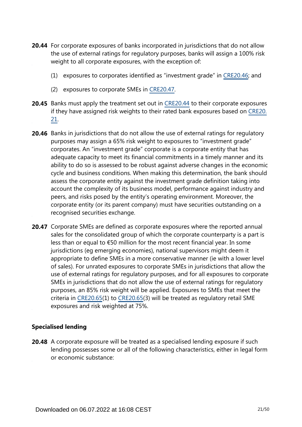- **20.44** For corporate exposures of banks incorporated in jurisdictions that do not allow the use of external ratings for regulatory purposes, banks will assign a 100% risk weight to all corporate exposures, with the exception of:
	- (1) exposures to corporates identified as "investment grade" in [CRE20.46;](https://www.bis.org/basel_framework/chapter/CRE/20.htm?tldate=20250101&inforce=20220101&published=20191215#paragraph_CRE_20_20220101_20_46) and
	- (2) exposures to corporate SMEs in [CRE20.47.](https://www.bis.org/basel_framework/chapter/CRE/20.htm?tldate=20250101&inforce=20220101&published=20191215#paragraph_CRE_20_20220101_20_47)
- **20.45** Banks must apply the treatment set out in [CRE20.44](https://www.bis.org/basel_framework/chapter/CRE/20.htm?tldate=20250101&inforce=20220101&published=20191215#paragraph_CRE_20_20220101_20_44) to their corporate exposures if they have assigned risk weights to their rated bank exposures based on [CRE20.](https://www.bis.org/basel_framework/chapter/CRE/20.htm?tldate=20250101&inforce=20220101&published=20191215#paragraph_CRE_20_20220101_20_21) [21](https://www.bis.org/basel_framework/chapter/CRE/20.htm?tldate=20250101&inforce=20220101&published=20191215#paragraph_CRE_20_20220101_20_21).
- **20.46** Banks in jurisdictions that do not allow the use of external ratings for regulatory purposes may assign a 65% risk weight to exposures to "investment grade" corporates. An "investment grade" corporate is a corporate entity that has adequate capacity to meet its financial commitments in a timely manner and its ability to do so is assessed to be robust against adverse changes in the economic cycle and business conditions. When making this determination, the bank should assess the corporate entity against the investment grade definition taking into account the complexity of its business model, performance against industry and peers, and risks posed by the entity's operating environment. Moreover, the corporate entity (or its parent company) must have securities outstanding on a recognised securities exchange.
- 20.47 Corporate SMEs are defined as corporate exposures where the reported annual sales for the consolidated group of which the corporate counterparty is a part is less than or equal to €50 million for the most recent financial year. In some jurisdictions (eg emerging economies), national supervisors might deem it appropriate to define SMEs in a more conservative manner (ie with a lower level of sales). For unrated exposures to corporate SMEs in jurisdictions that allow the use of external ratings for regulatory purposes, and for all exposures to corporate SMEs in jurisdictions that do not allow the use of external ratings for regulatory purposes, an 85% risk weight will be applied. Exposures to SMEs that meet the criteria in [CRE20.65\(](https://www.bis.org/basel_framework/chapter/CRE/20.htm?tldate=20250101&inforce=20220101&published=20191215#paragraph_CRE_20_20220101_20_65)1) to [CRE20.65](https://www.bis.org/basel_framework/chapter/CRE/20.htm?tldate=20250101&inforce=20220101&published=20191215#paragraph_CRE_20_20220101_20_65)(3) will be treated as regulatory retail SME exposures and risk weighted at 75%.

# **Specialised lending**

**20.48** A corporate exposure will be treated as a specialised lending exposure if such lending possesses some or all of the following characteristics, either in legal form or economic substance: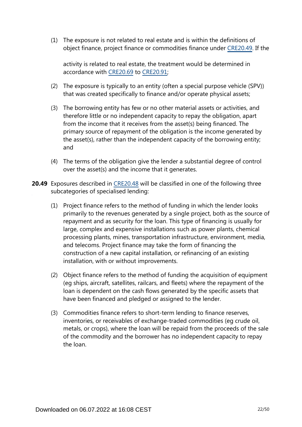(1) The exposure is not related to real estate and is within the definitions of object finance, project finance or commodities finance under [CRE20.49.](https://www.bis.org/basel_framework/chapter/CRE/20.htm?tldate=20250101&inforce=20220101&published=20191215#paragraph_CRE_20_20220101_20_49) If the

activity is related to real estate, the treatment would be determined in accordance with [CRE20.69](https://www.bis.org/basel_framework/chapter/CRE/20.htm?tldate=20250101&inforce=20220101&published=20191215#paragraph_CRE_20_20220101_20_69) to [CRE20.91;](https://www.bis.org/basel_framework/chapter/CRE/20.htm?tldate=20250101&inforce=20220101&published=20191215#paragraph_CRE_20_20220101_20_91)

- (2) The exposure is typically to an entity (often a special purpose vehicle (SPV)) that was created specifically to finance and/or operate physical assets;
- (3) The borrowing entity has few or no other material assets or activities, and therefore little or no independent capacity to repay the obligation, apart from the income that it receives from the asset(s) being financed. The primary source of repayment of the obligation is the income generated by the asset(s), rather than the independent capacity of the borrowing entity; and
- (4) The terms of the obligation give the lender a substantial degree of control over the asset(s) and the income that it generates.
- **20.49** Exposures described in [CRE20.48](https://www.bis.org/basel_framework/chapter/CRE/20.htm?tldate=20250101&inforce=20220101&published=20191215#paragraph_CRE_20_20220101_20_48) will be classified in one of the following three subcategories of specialised lending:
	- (1) Project finance refers to the method of funding in which the lender looks primarily to the revenues generated by a single project, both as the source of repayment and as security for the loan. This type of financing is usually for large, complex and expensive installations such as power plants, chemical processing plants, mines, transportation infrastructure, environment, media, and telecoms. Project finance may take the form of financing the construction of a new capital installation, or refinancing of an existing installation, with or without improvements.
	- (2) Object finance refers to the method of funding the acquisition of equipment (eg ships, aircraft, satellites, railcars, and fleets) where the repayment of the loan is dependent on the cash flows generated by the specific assets that have been financed and pledged or assigned to the lender.
	- (3) Commodities finance refers to short-term lending to finance reserves, inventories, or receivables of exchange-traded commodities (eg crude oil, metals, or crops), where the loan will be repaid from the proceeds of the sale of the commodity and the borrower has no independent capacity to repay the loan.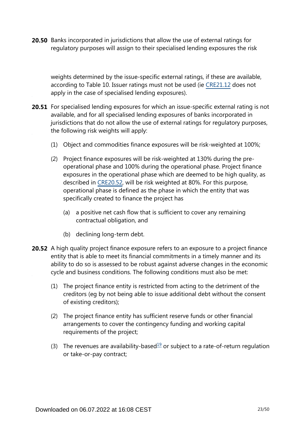**20.50** Banks incorporated in jurisdictions that allow the use of external ratings for regulatory purposes will assign to their specialised lending exposures the risk

weights determined by the issue-specific external ratings, if these are available, according to Table 10. Issuer ratings must not be used (ie [CRE21.12](https://www.bis.org/basel_framework/chapter/CRE/21.htm?tldate=20250101&inforce=20230101&published=20200327#paragraph_CRE_21_20230101_21_12) does not apply in the case of specialised lending exposures).

- **20.51** For specialised lending exposures for which an issue-specific external rating is not available, and for all specialised lending exposures of banks incorporated in jurisdictions that do not allow the use of external ratings for regulatory purposes, the following risk weights will apply:
	- (1) Object and commodities finance exposures will be risk-weighted at 100%;
	- (2) Project finance exposures will be risk-weighted at 130% during the preoperational phase and 100% during the operational phase. Project finance exposures in the operational phase which are deemed to be high quality, as described in [CRE20.52](https://www.bis.org/basel_framework/chapter/CRE/20.htm?tldate=20250101&inforce=20220101&published=20191215#paragraph_CRE_20_20220101_20_52), will be risk weighted at 80%. For this purpose, operational phase is defined as the phase in which the entity that was specifically created to finance the project has
		- (a) a positive net cash flow that is sufficient to cover any remaining contractual obligation, and
		- (b) declining long-term debt.
- <span id="page-22-0"></span>**20.52** A high quality project finance exposure refers to an exposure to a project finance entity that is able to meet its financial commitments in a timely manner and its ability to do so is assessed to be robust against adverse changes in the economic cycle and business conditions. The following conditions must also be met:
	- (1) The project finance entity is restricted from acting to the detriment of the creditors (eg by not being able to issue additional debt without the consent of existing creditors);
	- (2) The project finance entity has sufficient reserve funds or other financial arrangements to cover the contingency funding and working capital requirements of the project;
	- (3) The revenues are availability-based<sup>[19](#page-23-0)</sup> or subject to a rate-of-return regulation or take-or-pay contract;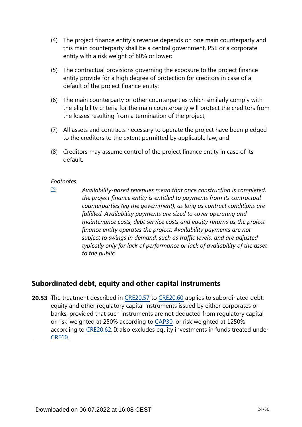- (4) The project finance entity's revenue depends on one main counterparty and this main counterparty shall be a central government, PSE or a corporate entity with a risk weight of 80% or lower;
- (5) The contractual provisions governing the exposure to the project finance entity provide for a high degree of protection for creditors in case of a default of the project finance entity;
- (6) The main counterparty or other counterparties which similarly comply with the eligibility criteria for the main counterparty will protect the creditors from the losses resulting from a termination of the project;
- (7) All assets and contracts necessary to operate the project have been pledged to the creditors to the extent permitted by applicable law; and
- (8) Creditors may assume control of the project finance entity in case of its default.

<span id="page-23-0"></span>*[19](#page-22-0)*

*Availability-based revenues mean that once construction is completed, the project finance entity is entitled to payments from its contractual counterparties (eg the government), as long as contract conditions are fulfilled. Availability payments are sized to cover operating and maintenance costs, debt service costs and equity returns as the project finance entity operates the project. Availability payments are not subject to swings in demand, such as traffic levels, and are adjusted typically only for lack of performance or lack of availability of the asset to the public.*

# **Subordinated debt, equity and other capital instruments**

**20.53** The treatment described in [CRE20.57](https://www.bis.org/basel_framework/chapter/CRE/20.htm?tldate=20250101&inforce=20220101&published=20191215#paragraph_CRE_20_20220101_20_57) to [CRE20.60](https://www.bis.org/basel_framework/chapter/CRE/20.htm?tldate=20250101&inforce=20220101&published=20191215#paragraph_CRE_20_20220101_20_60) applies to subordinated debt, equity and other regulatory capital instruments issued by either corporates or banks, provided that such instruments are not deducted from regulatory capital or risk-weighted at 250% according to [CAP30](https://www.bis.org/basel_framework/chapter/CAP/30.htm?tldate=20250101&inforce=20191215&published=20191215), or risk weighted at 1250% according to [CRE20.62](https://www.bis.org/basel_framework/chapter/CRE/20.htm?tldate=20250101&inforce=20220101&published=20191215#paragraph_CRE_20_20220101_20_62). It also excludes equity investments in funds treated under [CRE60.](https://www.bis.org/basel_framework/chapter/CRE/60.htm?tldate=20250101&inforce=20230101&published=20200327)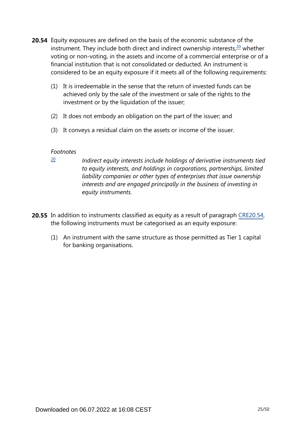- <span id="page-24-1"></span>**20.54** Equity exposures are defined on the basis of the economic substance of the instrument. They include both direct and indirect ownership interests, $20$  whether voting or non-voting, in the assets and income of a commercial enterprise or of a financial institution that is not consolidated or deducted. An instrument is considered to be an equity exposure if it meets all of the following requirements:
	- (1) It is irredeemable in the sense that the return of invested funds can be achieved only by the sale of the investment or sale of the rights to the investment or by the liquidation of the issuer;
	- (2) It does not embody an obligation on the part of the issuer; and
	- (3) It conveys a residual claim on the assets or income of the issuer.

<span id="page-24-0"></span>*[20](#page-24-1)*

*Indirect equity interests include holdings of derivative instruments tied to equity interests, and holdings in corporations, partnerships, limited liability companies or other types of enterprises that issue ownership interests and are engaged principally in the business of investing in equity instruments.*

- **20.55** In addition to instruments classified as equity as a result of paragraph [CRE20.54](https://www.bis.org/basel_framework/chapter/CRE/20.htm?tldate=20250101&inforce=20220101&published=20191215#paragraph_CRE_20_20220101_20_54), the following instruments must be categorised as an equity exposure:
	- (1) An instrument with the same structure as those permitted as Tier 1 capital for banking organisations.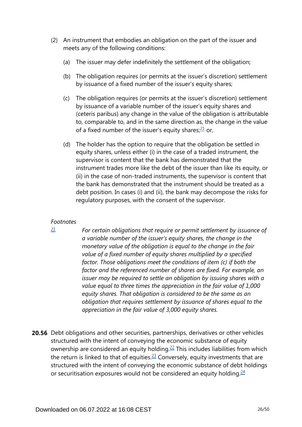- <span id="page-25-1"></span>(2) An instrument that embodies an obligation on the part of the issuer and meets any of the following conditions:
	- (a) The issuer may defer indefinitely the settlement of the obligation;
	- (b) The obligation requires (or permits at the issuer's discretion) settlement by issuance of a fixed number of the issuer's equity shares;
	- (c) The obligation requires (or permits at the issuer's discretion) settlement by issuance of a variable number of the issuer's equity shares and (ceteris paribus) any change in the value of the obligation is attributable to, comparable to, and in the same direction as, the change in the value of a fixed number of the issuer's equity shares; $21$  or,
	- (d) The holder has the option to require that the obligation be settled in equity shares, unless either (i) in the case of a traded instrument, the supervisor is content that the bank has demonstrated that the instrument trades more like the debt of the issuer than like its equity, or (ii) in the case of non-traded instruments, the supervisor is content that the bank has demonstrated that the instrument should be treated as a debt position. In cases (i) and (ii), the bank may decompose the risks for regulatory purposes, with the consent of the supervisor.

<span id="page-25-0"></span>*[21](#page-25-1)*

*For certain obligations that require or permit settlement by issuance of a variable number of the issuer's equity shares, the change in the monetary value of the obligation is equal to the change in the fair value of a fixed number of equity shares multiplied by a specified factor. Those obligations meet the conditions of item (c) if both the factor and the referenced number of shares are fixed. For example, an issuer may be required to settle an obligation by issuing shares with a value equal to three times the appreciation in the fair value of 1,000 equity shares. That obligation is considered to be the same as an obligation that requires settlement by issuance of shares equal to the appreciation in the fair value of 3,000 equity shares.*

<span id="page-25-4"></span><span id="page-25-3"></span><span id="page-25-2"></span>**20.56** Debt obligations and other securities, partnerships, derivatives or other vehicles structured with the intent of conveying the economic substance of equity ownership are considered an equity holding.<sup>[22](#page-26-0)</sup> This includes liabilities from which the return is linked to that of equities. $23$  Conversely, equity investments that are structured with the intent of conveying the economic substance of debt holdings or securitisation exposures would not be considered an equity holding. $24$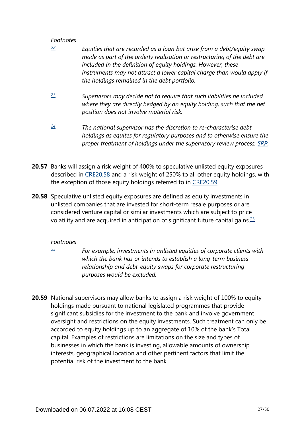- <span id="page-26-0"></span>*Equities that are recorded as a loan but arise from a debt/equity swap made as part of the orderly realisation or restructuring of the debt are included in the definition of equity holdings. However, these instruments may not attract a lower capital charge than would apply if the holdings remained in the debt portfolio. [22](#page-25-2)*
- <span id="page-26-1"></span>*Supervisors may decide not to require that such liabilities be included where they are directly hedged by an equity holding, such that the net position does not involve material risk. [23](#page-25-3)*
- <span id="page-26-2"></span>*The national supervisor has the discretion to re-characterise debt holdings as equites for regulatory purposes and to otherwise ensure the proper treatment of holdings under the supervisory review process, [SRP.](https://www.bis.org/basel_framework/standard/SRP.htm?tldate=20250101) [24](#page-25-4)*
- **20.57** Banks will assign a risk weight of 400% to speculative unlisted equity exposures described in [CRE20.58](https://www.bis.org/basel_framework/chapter/CRE/20.htm?tldate=20250101&inforce=20220101&published=20191215#paragraph_CRE_20_20220101_20_58) and a risk weight of 250% to all other equity holdings, with the exception of those equity holdings referred to in [CRE20.59.](https://www.bis.org/basel_framework/chapter/CRE/20.htm?tldate=20250101&inforce=20220101&published=20191215#paragraph_CRE_20_20220101_20_59)
- <span id="page-26-4"></span>**20.58** Speculative unlisted equity exposures are defined as equity investments in unlisted companies that are invested for short-term resale purposes or are considered venture capital or similar investments which are subject to price volatility and are acquired in anticipation of significant future capital gains.  $\frac{25}{5}$  $\frac{25}{5}$  $\frac{25}{5}$

# *Footnotes*

<span id="page-26-3"></span>*[25](#page-26-4)*

*For example, investments in unlisted equities of corporate clients with which the bank has or intends to establish a long-term business relationship and debt-equity swaps for corporate restructuring purposes would be excluded.*

**20.59** National supervisors may allow banks to assign a risk weight of 100% to equity holdings made pursuant to national legislated programmes that provide significant subsidies for the investment to the bank and involve government oversight and restrictions on the equity investments. Such treatment can only be accorded to equity holdings up to an aggregate of 10% of the bank's Total capital. Examples of restrictions are limitations on the size and types of businesses in which the bank is investing, allowable amounts of ownership interests, geographical location and other pertinent factors that limit the potential risk of the investment to the bank.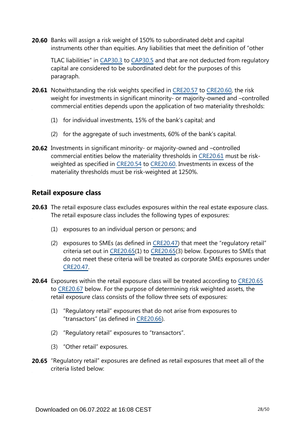**20.60** Banks will assign a risk weight of 150% to subordinated debt and capital instruments other than equities. Any liabilities that meet the definition of "other

TLAC liabilities" in [CAP30.3](https://www.bis.org/basel_framework/chapter/CAP/30.htm?tldate=20250101&inforce=20191215&published=20191215#paragraph_CAP_30_20191215_30_3) to [CAP30.5](https://www.bis.org/basel_framework/chapter/CAP/30.htm?tldate=20250101&inforce=20191215&published=20191215#paragraph_CAP_30_20191215_30_5) and that are not deducted from regulatory capital are considered to be subordinated debt for the purposes of this paragraph.

- **20.61** Notwithstanding the risk weights specified in [CRE20.57](https://www.bis.org/basel_framework/chapter/CRE/20.htm?tldate=20250101&inforce=20220101&published=20191215#paragraph_CRE_20_20220101_20_57) to [CRE20.60,](https://www.bis.org/basel_framework/chapter/CRE/20.htm?tldate=20250101&inforce=20220101&published=20191215#paragraph_CRE_20_20220101_20_60) the risk weight for investments in significant minority- or majority-owned and –controlled commercial entities depends upon the application of two materiality thresholds:
	- (1) for individual investments, 15% of the bank's capital; and
	- (2) for the aggregate of such investments, 60% of the bank's capital.
- **20.62** Investments in significant minority- or majority-owned and -controlled commercial entities below the materiality thresholds in [CRE20.61](https://www.bis.org/basel_framework/chapter/CRE/20.htm?tldate=20250101&inforce=20220101&published=20191215#paragraph_CRE_20_20220101_20_61) must be riskweighted as specified in [CRE20.54](https://www.bis.org/basel_framework/chapter/CRE/20.htm?tldate=20250101&inforce=20220101&published=20191215#paragraph_CRE_20_20220101_20_54) to [CRE20.60](https://www.bis.org/basel_framework/chapter/CRE/20.htm?tldate=20250101&inforce=20220101&published=20191215#paragraph_CRE_20_20220101_20_60). Investments in excess of the materiality thresholds must be risk-weighted at 1250%.

# **Retail exposure class**

- **20.63** The retail exposure class excludes exposures within the real estate exposure class. The retail exposure class includes the following types of exposures:
	- (1) exposures to an individual person or persons; and
	- (2) exposures to SMEs (as defined in [CRE20.47\)](https://www.bis.org/basel_framework/chapter/CRE/20.htm?tldate=20250101&inforce=20220101&published=20191215#paragraph_CRE_20_20220101_20_47) that meet the "regulatory retail" criteria set out in [CRE20.65\(](https://www.bis.org/basel_framework/chapter/CRE/20.htm?tldate=20250101&inforce=20220101&published=20191215#paragraph_CRE_20_20220101_20_65)1) to [CRE20.65](https://www.bis.org/basel_framework/chapter/CRE/20.htm?tldate=20250101&inforce=20220101&published=20191215#paragraph_CRE_20_20220101_20_65)(3) below. Exposures to SMEs that do not meet these criteria will be treated as corporate SMEs exposures under [CRE20.47.](https://www.bis.org/basel_framework/chapter/CRE/20.htm?tldate=20250101&inforce=20220101&published=20191215#paragraph_CRE_20_20220101_20_47)
- **20.64** Exposures within the retail exposure class will be treated according to [CRE20.65](https://www.bis.org/basel_framework/chapter/CRE/20.htm?tldate=20250101&inforce=20220101&published=20191215#paragraph_CRE_20_20220101_20_65) to [CRE20.67](https://www.bis.org/basel_framework/chapter/CRE/20.htm?tldate=20250101&inforce=20220101&published=20191215#paragraph_CRE_20_20220101_20_67) below. For the purpose of determining risk weighted assets, the retail exposure class consists of the follow three sets of exposures:
	- (1) "Regulatory retail" exposures that do not arise from exposures to "transactors" (as defined in [CRE20.66\)](https://www.bis.org/basel_framework/chapter/CRE/20.htm?tldate=20250101&inforce=20220101&published=20191215#paragraph_CRE_20_20220101_20_66).
	- (2) "Regulatory retail" exposures to "transactors".
	- (3) "Other retail" exposures.
- **20.65** "Regulatory retail" exposures are defined as retail exposures that meet all of the criteria listed below: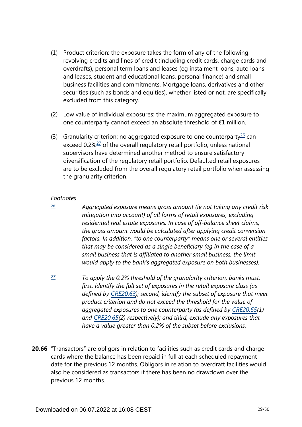- (1) Product criterion: the exposure takes the form of any of the following: revolving credits and lines of credit (including credit cards, charge cards and overdrafts), personal term loans and leases (eg instalment loans, auto loans and leases, student and educational loans, personal finance) and small business facilities and commitments. Mortgage loans, derivatives and other securities (such as bonds and equities), whether listed or not, are specifically excluded from this category.
- (2) Low value of individual exposures: the maximum aggregated exposure to one counterparty cannot exceed an absolute threshold of €1 million.
- <span id="page-28-3"></span><span id="page-28-2"></span>(3) Granularity criterion: no aggregated exposure to one counterparty $^{26}$  $^{26}$  $^{26}$  can exceed 0.2%<sup>[27](#page-28-1)</sup> of the overall regulatory retail portfolio, unless national supervisors have determined another method to ensure satisfactory diversification of the regulatory retail portfolio. Defaulted retail exposures are to be excluded from the overall regulatory retail portfolio when assessing the granularity criterion.

<span id="page-28-0"></span>*[26](#page-28-2)*

*Aggregated exposure means gross amount (ie not taking any credit risk mitigation into account) of all forms of retail exposures, excluding residential real estate exposures. In case of off-balance sheet claims, the gross amount would be calculated after applying credit conversion factors. In addition, "to one counterparty" means one or several entities that may be considered as a single beneficiary (eg in the case of a small business that is affiliated to another small business, the limit would apply to the bank's aggregated exposure on both businesses).*

- <span id="page-28-1"></span>*To apply the 0.2% threshold of the granularity criterion, banks must: first, identify the full set of exposures in the retail exposure class (as defined by [CRE20.63\)](https://www.bis.org/basel_framework/chapter/CRE/20.htm?tldate=20250101&inforce=20220101&published=20191215#paragraph_CRE_20_20220101_20_63); second, identify the subset of exposure that meet product criterion and do not exceed the threshold for the value of aggregated exposures to one counterparty (as defined by [CRE20.65\(](https://www.bis.org/basel_framework/chapter/CRE/20.htm?tldate=20250101&inforce=20220101&published=20191215#paragraph_CRE_20_20220101_20_65)1) and [CRE20.65\(](https://www.bis.org/basel_framework/chapter/CRE/20.htm?tldate=20250101&inforce=20220101&published=20191215#paragraph_CRE_20_20220101_20_65)2) respectively); and third, exclude any exposures that have a value greater than 0.2% of the subset before exclusions. [27](#page-28-3)*
- **20.66** "Transactors" are obligors in relation to facilities such as credit cards and charge cards where the balance has been repaid in full at each scheduled repayment date for the previous 12 months. Obligors in relation to overdraft facilities would also be considered as transactors if there has been no drawdown over the previous 12 months.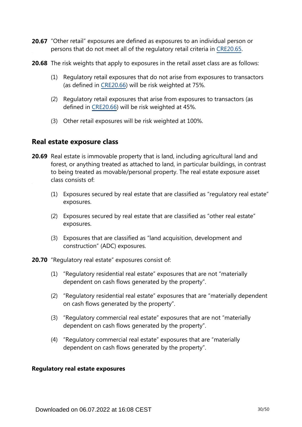- 20.67 "Other retail" exposures are defined as exposures to an individual person or persons that do not meet all of the regulatory retail criteria in [CRE20.65](https://www.bis.org/basel_framework/chapter/CRE/20.htm?tldate=20250101&inforce=20220101&published=20191215#paragraph_CRE_20_20220101_20_65).
- **20.68** The risk weights that apply to exposures in the retail asset class are as follows:
	- (1) Regulatory retail exposures that do not arise from exposures to transactors (as defined in [CRE20.66](https://www.bis.org/basel_framework/chapter/CRE/20.htm?tldate=20250101&inforce=20220101&published=20191215#paragraph_CRE_20_20220101_20_66)) will be risk weighted at 75%.
	- (2) Regulatory retail exposures that arise from exposures to transactors (as defined in [CRE20.66](https://www.bis.org/basel_framework/chapter/CRE/20.htm?tldate=20250101&inforce=20220101&published=20191215#paragraph_CRE_20_20220101_20_66)) will be risk weighted at 45%.
	- (3) Other retail exposures will be risk weighted at 100%.

# **Real estate exposure class**

- **20.69** Real estate is immovable property that is land, including agricultural land and forest, or anything treated as attached to land, in particular buildings, in contrast to being treated as movable/personal property. The real estate exposure asset class consists of:
	- (1) Exposures secured by real estate that are classified as "regulatory real estate" exposures.
	- (2) Exposures secured by real estate that are classified as "other real estate" exposures.
	- (3) Exposures that are classified as "land acquisition, development and construction" (ADC) exposures.
- **20.70** "Regulatory real estate" exposures consist of:
	- (1) "Regulatory residential real estate" exposures that are not "materially dependent on cash flows generated by the property".
	- (2) "Regulatory residential real estate" exposures that are "materially dependent on cash flows generated by the property".
	- (3) "Regulatory commercial real estate" exposures that are not "materially dependent on cash flows generated by the property".
	- (4) "Regulatory commercial real estate" exposures that are "materially dependent on cash flows generated by the property".

#### **Regulatory real estate exposures**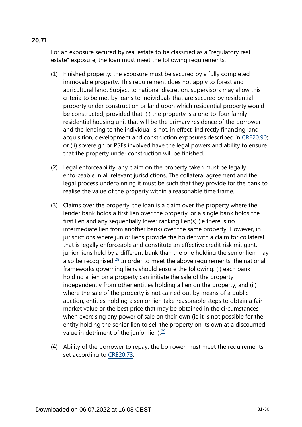# For an exposure secured by real estate to be classified as a "regulatory real estate" exposure, the loan must meet the following requirements:

- (1) Finished property: the exposure must be secured by a fully completed immovable property. This requirement does not apply to forest and agricultural land. Subject to national discretion, supervisors may allow this criteria to be met by loans to individuals that are secured by residential property under construction or land upon which residential property would be constructed, provided that: (i) the property is a one-to-four family residential housing unit that will be the primary residence of the borrower and the lending to the individual is not, in effect, indirectly financing land acquisition, development and construction exposures described in [CRE20.90](https://www.bis.org/basel_framework/chapter/CRE/20.htm?tldate=20250101&inforce=20220101&published=20191215#paragraph_CRE_20_20220101_20_90); or (ii) sovereign or PSEs involved have the legal powers and ability to ensure that the property under construction will be finished.
- (2) Legal enforceability: any claim on the property taken must be legally enforceable in all relevant jurisdictions. The collateral agreement and the legal process underpinning it must be such that they provide for the bank to realise the value of the property within a reasonable time frame.
- <span id="page-30-0"></span>(3) Claims over the property: the loan is a claim over the property where the lender bank holds a first lien over the property, or a single bank holds the first lien and any sequentially lower ranking lien(s) (ie there is no intermediate lien from another bank) over the same property. However, in jurisdictions where junior liens provide the holder with a claim for collateral that is legally enforceable and constitute an effective credit risk mitigant, junior liens held by a different bank than the one holding the senior lien may also be recognised. $28$  In order to meet the above requirements, the national frameworks governing liens should ensure the following: (i) each bank holding a lien on a property can initiate the sale of the property independently from other entities holding a lien on the property; and (ii) where the sale of the property is not carried out by means of a public auction, entities holding a senior lien take reasonable steps to obtain a fair market value or the best price that may be obtained in the circumstances when exercising any power of sale on their own (ie it is not possible for the entity holding the senior lien to sell the property on its own at a discounted value in detriment of the junior lien). $\frac{29}{2}$  $\frac{29}{2}$  $\frac{29}{2}$
- <span id="page-30-1"></span>(4) Ability of the borrower to repay: the borrower must meet the requirements set according to [CRE20.73](https://www.bis.org/basel_framework/chapter/CRE/20.htm?tldate=20250101&inforce=20220101&published=20191215#paragraph_CRE_20_20220101_20_73).

# **20.71**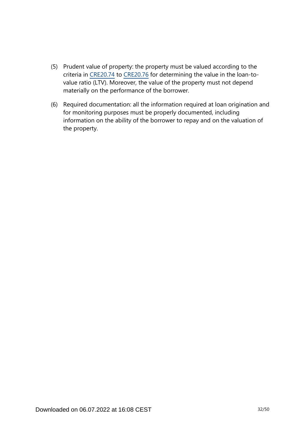- (5) Prudent value of property: the property must be valued according to the criteria in [CRE20.74](https://www.bis.org/basel_framework/chapter/CRE/20.htm?tldate=20250101&inforce=20220101&published=20191215#paragraph_CRE_20_20220101_20_74) to [CRE20.76](https://www.bis.org/basel_framework/chapter/CRE/20.htm?tldate=20250101&inforce=20220101&published=20191215#paragraph_CRE_20_20220101_20_76) for determining the value in the loan-tovalue ratio (LTV). Moreover, the value of the property must not depend materially on the performance of the borrower.
- (6) Required documentation: all the information required at loan origination and for monitoring purposes must be properly documented, including information on the ability of the borrower to repay and on the valuation of the property.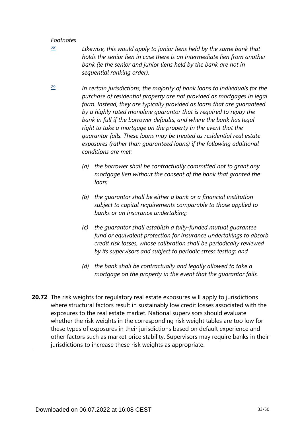<span id="page-32-0"></span>*[28](#page-30-0)*

*Likewise, this would apply to junior liens held by the same bank that holds the senior lien in case there is an intermediate lien from another*  bank (ie the senior and junior liens held by the bank are not in *sequential ranking order).*

<span id="page-32-1"></span>*In certain jurisdictions, the majority of bank loans to individuals for the purchase of residential property are not provided as mortgages in legal form. Instead, they are typically provided as loans that are guaranteed by a highly rated monoline guarantor that is required to repay the bank in full if the borrower defaults, and where the bank has legal right to take a mortgage on the property in the event that the guarantor fails. These loans may be treated as residential real estate exposures (rather than guaranteed loans) if the following additional conditions are met: [29](#page-30-1)*

- *(a) the borrower shall be contractually committed not to grant any mortgage lien without the consent of the bank that granted the loan;*
- *(b) the guarantor shall be either a bank or a financial institution subject to capital requirements comparable to those applied to banks or an insurance undertaking;*
- *(c) the guarantor shall establish a fully-funded mutual guarantee fund or equivalent protection for insurance undertakings to absorb credit risk losses, whose calibration shall be periodically reviewed by its supervisors and subject to periodic stress testing; and*
- *(d) the bank shall be contractually and legally allowed to take a mortgage on the property in the event that the guarantor fails.*
- **20.72** The risk weights for regulatory real estate exposures will apply to jurisdictions where structural factors result in sustainably low credit losses associated with the exposures to the real estate market. National supervisors should evaluate whether the risk weights in the corresponding risk weight tables are too low for these types of exposures in their jurisdictions based on default experience and other factors such as market price stability. Supervisors may require banks in their jurisdictions to increase these risk weights as appropriate.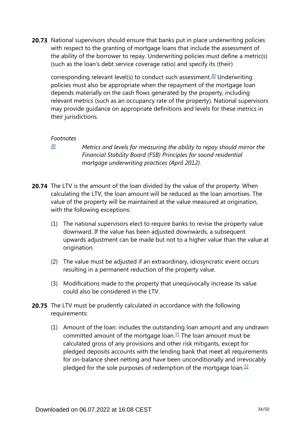<span id="page-33-1"></span>**20.73** National supervisors should ensure that banks put in place underwriting policies with respect to the granting of mortgage loans that include the assessment of the ability of the borrower to repay. Underwriting policies must define a metric(s) (such as the loan's debt service coverage ratio) and specify its (their)

corresponding relevant level(s) to conduct such assessment.<sup>[30](#page-33-0)</sup> Underwriting policies must also be appropriate when the repayment of the mortgage loan depends materially on the cash flows generated by the property, including relevant metrics (such as an occupancy rate of the property). National supervisors may provide guidance on appropriate definitions and levels for these metrics in their jurisdictions.

### *Footnotes*

<span id="page-33-0"></span>*[30](#page-33-1)*

*Metrics and levels for measuring the ability to repay should mirror the Financial Stability Board (FSB) Principles for sound residential mortgage underwriting practices (April 2012).*

- **20.74** The LTV is the amount of the loan divided by the value of the property. When calculating the LTV, the loan amount will be reduced as the loan amortises. The value of the property will be maintained at the value measured at origination, with the following exceptions:
	- (1) The national supervisors elect to require banks to revise the property value downward. If the value has been adjusted downwards, a subsequent upwards adjustment can be made but not to a higher value than the value at origination.
	- (2) The value must be adjusted if an extraordinary, idiosyncratic event occurs resulting in a permanent reduction of the property value.
	- (3) Modifications made to the property that unequivocally increase its value could also be considered in the LTV.
- <span id="page-33-3"></span><span id="page-33-2"></span>**20.75** The LTV must be prudently calculated in accordance with the following requirements:
	- (1) Amount of the loan: includes the outstanding loan amount and any undrawn committed amount of the mortgage loan. $31$  The loan amount must be calculated gross of any provisions and other risk mitigants, except for pledged deposits accounts with the lending bank that meet all requirements for on-balance sheet netting and have been unconditionally and irrevocably pledged for the sole purposes of redemption of the mortgage loan. $32$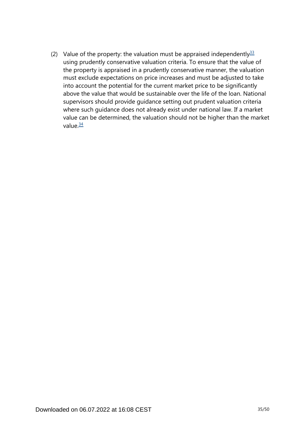<span id="page-34-1"></span><span id="page-34-0"></span>(2) Value of the property: the valuation must be appraised independently  $33$ using prudently conservative valuation criteria. To ensure that the value of the property is appraised in a prudently conservative manner, the valuation must exclude expectations on price increases and must be adjusted to take into account the potential for the current market price to be significantly above the value that would be sustainable over the life of the loan. National supervisors should provide guidance setting out prudent valuation criteria where such guidance does not already exist under national law. If a market value can be determined, the valuation should not be higher than the market value $\frac{34}{5}$  $\frac{34}{5}$  $\frac{34}{5}$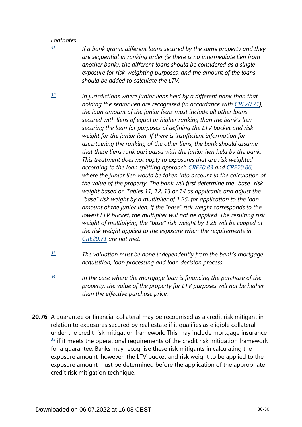<span id="page-35-0"></span>*[31](#page-33-2)*

*If a bank grants different loans secured by the same property and they are sequential in ranking order (ie there is no intermediate lien from another bank), the different loans should be considered as a single exposure for risk-weighting purposes, and the amount of the loans should be added to calculate the LTV.*

- <span id="page-35-1"></span>*In jurisdictions where junior liens held by a different bank than that holding the senior lien are recognised (in accordance with [CRE20.71\)](https://www.bis.org/basel_framework/chapter/CRE/20.htm?tldate=20250101&inforce=20220101&published=20191215#paragraph_CRE_20_20220101_20_71), the loan amount of the junior liens must include all other loans secured with liens of equal or higher ranking than the bank's lien securing the loan for purposes of defining the LTV bucket and risk weight for the junior lien. If there is insufficient information for ascertaining the ranking of the other liens, the bank should assume that these liens rank pari passu with the junior lien held by the bank. This treatment does not apply to exposures that are risk weighted according to the loan splitting approach [CRE20.83](https://www.bis.org/basel_framework/chapter/CRE/20.htm?tldate=20250101&inforce=20220101&published=20191215#paragraph_CRE_20_20220101_20_83) and [CRE20.86,](https://www.bis.org/basel_framework/chapter/CRE/20.htm?tldate=20250101&inforce=20220101&published=20191215#paragraph_CRE_20_20220101_20_86) where the junior lien would be taken into account in the calculation of the value of the property. The bank will first determine the "base" risk weight based on Tables 11, 12, 13 or 14 as applicable and adjust the "base" risk weight by a multiplier of 1.25, for application to the loan amount of the junior lien. If the "base" risk weight corresponds to the lowest LTV bucket, the multiplier will not be applied. The resulting risk weight of multiplying the "base" risk weight by 1.25 will be capped at the risk weight applied to the exposure when the requirements in [CRE20.71](https://www.bis.org/basel_framework/chapter/CRE/20.htm?tldate=20250101&inforce=20220101&published=20191215#paragraph_CRE_20_20220101_20_71) are not met. [32](#page-33-3)*
- <span id="page-35-2"></span>*The valuation must be done independently from the bank's mortgage acquisition, loan processing and loan decision process. [33](#page-34-0)*
- <span id="page-35-3"></span>*In the case where the mortgage loan is financing the purchase of the property, the value of the property for LTV purposes will not be higher than the effective purchase price. [34](#page-34-1)*
- **20.76** A guarantee or financial collateral may be recognised as a credit risk mitigant in relation to exposures secured by real estate if it qualifies as eligible collateral under the credit risk mitigation framework. This may include mortgage insurance  $35$  if it meets the operational requirements of the credit risk mitigation framework for a guarantee. Banks may recognise these risk mitigants in calculating the exposure amount; however, the LTV bucket and risk weight to be applied to the exposure amount must be determined before the application of the appropriate credit risk mitigation technique.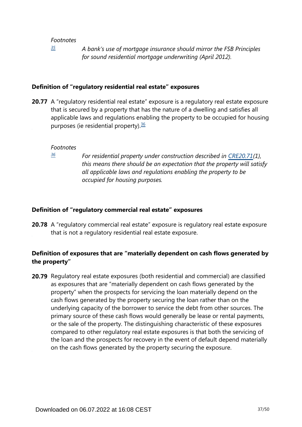*[35](#page-0-0)*

*A bank's use of mortgage insurance should mirror the FSB Principles for sound residential mortgage underwriting (April 2012).*

## <span id="page-36-0"></span>**Definition of "regulatory residential real estate" exposures**

<span id="page-36-2"></span>**20.77** A "regulatory residential real estate" exposure is a regulatory real estate exposure that is secured by a property that has the nature of a dwelling and satisfies all applicable laws and regulations enabling the property to be occupied for housing purposes (ie residential property). $36$ 

#### *Footnotes*

<span id="page-36-1"></span>*[36](#page-36-2)*

*For residential property under construction described in [CRE20.71\(](https://www.bis.org/basel_framework/chapter/CRE/20.htm?tldate=20250101&inforce=20220101&published=20191215#paragraph_CRE_20_20220101_20_71)1), this means there should be an expectation that the property will satisfy all applicable laws and regulations enabling the property to be occupied for housing purposes.*

## **Definition of "regulatory commercial real estate" exposures**

**20.78** A "regulatory commercial real estate" exposure is regulatory real estate exposure that is not a regulatory residential real estate exposure.

# **Definition of exposures that are "materially dependent on cash flows generated by the property"**

**20.79** Regulatory real estate exposures (both residential and commercial) are classified as exposures that are "materially dependent on cash flows generated by the property" when the prospects for servicing the loan materially depend on the cash flows generated by the property securing the loan rather than on the underlying capacity of the borrower to service the debt from other sources. The primary source of these cash flows would generally be lease or rental payments, or the sale of the property. The distinguishing characteristic of these exposures compared to other regulatory real estate exposures is that both the servicing of the loan and the prospects for recovery in the event of default depend materially on the cash flows generated by the property securing the exposure.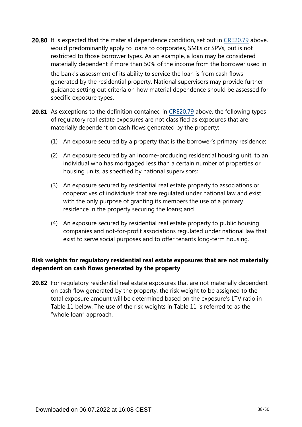**20.80** It is expected that the material dependence condition, set out in [CRE20.79](https://www.bis.org/basel_framework/chapter/CRE/20.htm?tldate=20250101&inforce=20220101&published=20191215#paragraph_CRE_20_20220101_20_79) above, would predominantly apply to loans to corporates, SMEs or SPVs, but is not restricted to those borrower types. As an example, a loan may be considered materially dependent if more than 50% of the income from the borrower used in the bank's assessment of its ability to service the loan is from cash flows generated by the residential property. National supervisors may provide further

guidance setting out criteria on how material dependence should be assessed for specific exposure types.

- **20.81** As exceptions to the definition contained in [CRE20.79](https://www.bis.org/basel_framework/chapter/CRE/20.htm?tldate=20250101&inforce=20220101&published=20191215#paragraph_CRE_20_20220101_20_79) above, the following types of regulatory real estate exposures are not classified as exposures that are materially dependent on cash flows generated by the property:
	- (1) An exposure secured by a property that is the borrower's primary residence;
	- (2) An exposure secured by an income-producing residential housing unit, to an individual who has mortgaged less than a certain number of properties or housing units, as specified by national supervisors;
	- (3) An exposure secured by residential real estate property to associations or cooperatives of individuals that are regulated under national law and exist with the only purpose of granting its members the use of a primary residence in the property securing the loans; and
	- (4) An exposure secured by residential real estate property to public housing companies and not-for-profit associations regulated under national law that exist to serve social purposes and to offer tenants long-term housing.

# **Risk weights for regulatory residential real estate exposures that are not materially dependent on cash flows generated by the property**

**20.82** For regulatory residential real estate exposures that are not materially dependent on cash flow generated by the property, the risk weight to be assigned to the total exposure amount will be determined based on the exposure's LTV ratio in Table 11 below. The use of the risk weights in Table 11 is referred to as the "whole loan" approach.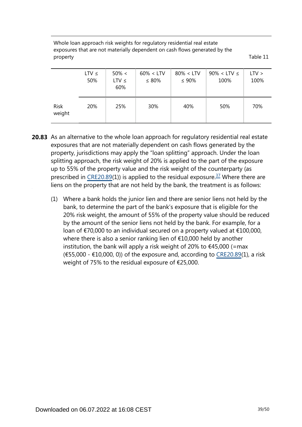Whole loan approach risk weights for regulatory residential real estate exposures that are not materially dependent on cash flows generated by the property Table 11

|                       | $LTV \leq$<br>50% | $50\% <$<br>$LTV \leq$<br>60% | $60\% < LTV$<br>$\leq 80\%$ | $80\% < LTV$<br>$\leq 90\%$ | $90\% <$ LTV $\leq$<br>100% | $LTV$ ><br>100% |
|-----------------------|-------------------|-------------------------------|-----------------------------|-----------------------------|-----------------------------|-----------------|
| <b>Risk</b><br>weight | 20%               | 25%                           | 30%                         | 40%                         | 50%                         | 70%             |

- <span id="page-38-0"></span>**20.83** As an alternative to the whole loan approach for regulatory residential real estate exposures that are not materially dependent on cash flows generated by the property, jurisdictions may apply the "loan splitting" approach. Under the loan splitting approach, the risk weight of 20% is applied to the part of the exposure up to 55% of the property value and the risk weight of the counterparty (as prescribed in [CRE20.89](https://www.bis.org/basel_framework/chapter/CRE/20.htm?tldate=20250101&inforce=20220101&published=20191215#paragraph_CRE_20_20220101_20_89)(1)) is applied to the residual exposure.<sup>[37](#page-39-0)</sup> Where there are liens on the property that are not held by the bank, the treatment is as follows:
	- (1) Where a bank holds the junior lien and there are senior liens not held by the bank, to determine the part of the bank's exposure that is eligible for the 20% risk weight, the amount of 55% of the property value should be reduced by the amount of the senior liens not held by the bank. For example, for a loan of €70,000 to an individual secured on a property valued at €100,000, where there is also a senior ranking lien of €10,000 held by another institution, the bank will apply a risk weight of 20% to  $\epsilon$ 45,000 (=max  $(655,000 - 10,000, 0)$  of the exposure and, according to [CRE20.89\(](https://www.bis.org/basel_framework/chapter/CRE/20.htm?tldate=20250101&inforce=20220101&published=20191215#paragraph_CRE_20_20220101_20_89)1), a risk weight of 75% to the residual exposure of €25,000.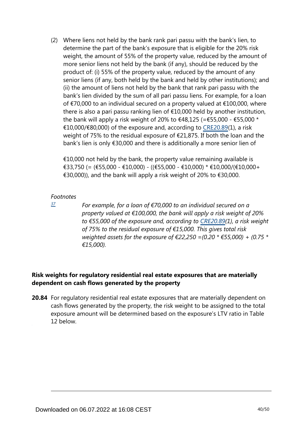(2) Where liens not held by the bank rank pari passu with the bank's lien, to determine the part of the bank's exposure that is eligible for the 20% risk weight, the amount of 55% of the property value, reduced by the amount of more senior liens not held by the bank (if any), should be reduced by the product of: (i) 55% of the property value, reduced by the amount of any senior liens (if any, both held by the bank and held by other institutions); and (ii) the amount of liens not held by the bank that rank pari passu with the bank's lien divided by the sum of all pari passu liens. For example, for a loan of €70,000 to an individual secured on a property valued at €100,000, where there is also a pari passu ranking lien of €10,000 held by another institution, the bank will apply a risk weight of 20% to  $\epsilon$ 48,125 (= $\epsilon$ 55,000 -  $\epsilon$ 55,000 \* €10,000/€80,000) of the exposure and, according to [CRE20.89\(](https://www.bis.org/basel_framework/chapter/CRE/20.htm?tldate=20250101&inforce=20220101&published=20191215#paragraph_CRE_20_20220101_20_89)1), a risk weight of 75% to the residual exposure of €21,875. If both the loan and the bank's lien is only €30,000 and there is additionally a more senior lien of

 $\epsilon$ 10,000 not held by the bank, the property value remaining available is €33,750 (= (€55,000 - €10,000) - ((€55,000 - €10,000) \* €10,000/(€10,000+ €30,000)), and the bank will apply a risk weight of 20% to €30,000.

### *Footnotes*

<span id="page-39-0"></span>*[37](#page-38-0)*

*For example, for a loan of €70,000 to an individual secured on a property valued at €100,000, the bank will apply a risk weight of 20% to €55,000 of the exposure and, according to [CRE20.89](https://www.bis.org/basel_framework/chapter/CRE/20.htm?tldate=20250101&inforce=20220101&published=20191215#paragraph_CRE_20_20220101_20_89)(1), a risk weight of 75% to the residual exposure of €15,000. This gives total risk weighted assets for the exposure of €22,250 =(0.20 \* €55,000) + (0.75 \* €15,000).*

# **Risk weights for regulatory residential real estate exposures that are materially dependent on cash flows generated by the property**

**20.84** For regulatory residential real estate exposures that are materially dependent on cash flows generated by the property, the risk weight to be assigned to the total exposure amount will be determined based on the exposure's LTV ratio in Table 12 below.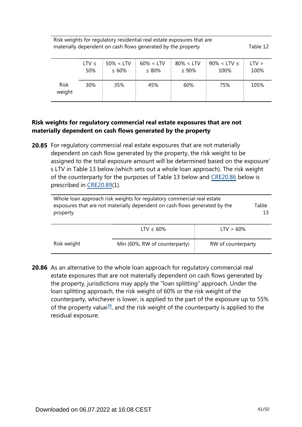Risk weights for regulatory residential real estate exposures that are materially dependent on cash flows generated by the property Table 12

|                       | LTV $\leq$      | $50\% < LTV$ | $60\% < LTV$ | $80\% < LTV$ | $90\% <$ LTV $\leq$ | LTV > |
|-----------------------|-----------------|--------------|--------------|--------------|---------------------|-------|
|                       | 50%             | $\leq 60\%$  | $\leq 80\%$  | $\leq 90\%$  | 100%                | 100%  |
| <b>Risk</b><br>weight | 30 <sup>%</sup> | 35%          | 45%          | 60%          | 75%                 | 105%  |

# **Risk weights for regulatory commercial real estate exposures that are not materially dependent on cash flows generated by the property**

**20.85** For regulatory commercial real estate exposures that are not materially dependent on cash flow generated by the property, the risk weight to be assigned to the total exposure amount will be determined based on the exposure' s LTV in Table 13 below (which sets out a whole loan approach). The risk weight of the counterparty for the purposes of Table 13 below and [CRE20.86](https://www.bis.org/basel_framework/chapter/CRE/20.htm?tldate=20250101&inforce=20220101&published=20191215#paragraph_CRE_20_20220101_20_86) below is prescribed in [CRE20.89](https://www.bis.org/basel_framework/chapter/CRE/20.htm?tldate=20250101&inforce=20220101&published=20191215#paragraph_CRE_20_20220101_20_89)(1).

| Whole loan approach risk weights for regulatory commercial real estate<br>exposures that are not materially dependent on cash flows generated by the | Table |
|------------------------------------------------------------------------------------------------------------------------------------------------------|-------|
| property                                                                                                                                             |       |
|                                                                                                                                                      |       |

|             | LTV $\leq 60\%$               | $LTV > 60\%$       |
|-------------|-------------------------------|--------------------|
| Risk weight | Min (60%, RW of counterparty) | RW of counterparty |

<span id="page-40-0"></span>**20.86** As an alternative to the whole loan approach for regulatory commercial real estate exposures that are not materially dependent on cash flows generated by the property, jurisdictions may apply the "loan splitting" approach. Under the loan splitting approach, the risk weight of 60% or the risk weight of the counterparty, whichever is lower, is applied to the part of the exposure up to 55% of the property value<sup>[38](#page-41-0)</sup>, and the risk weight of the counterparty is applied to the residual exposure.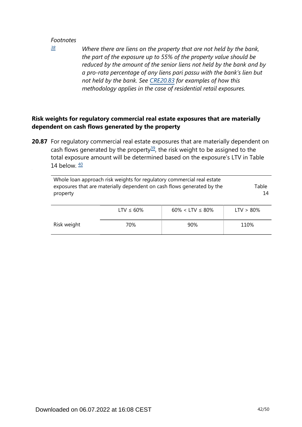<span id="page-41-0"></span>*[38](#page-40-0)*

*Where there are liens on the property that are not held by the bank, the part of the exposure up to 55% of the property value should be reduced by the amount of the senior liens not held by the bank and by a pro-rata percentage of any liens pari passu with the bank's lien but not held by the bank. See [CRE20.83](https://www.bis.org/basel_framework/chapter/CRE/20.htm?tldate=20250101&inforce=20220101&published=20191215#paragraph_CRE_20_20220101_20_83) for examples of how this methodology applies in the case of residential retail exposures.*

# **Risk weights for regulatory commercial real estate exposures that are materially dependent on cash flows generated by the property**

<span id="page-41-2"></span><span id="page-41-1"></span>**20.87** For regulatory commercial real estate exposures that are materially dependent on cash flows generated by the property<sup>[39](#page-42-0)</sup>, the risk weight to be assigned to the total exposure amount will be determined based on the exposure's LTV in Table 14 below.  $\frac{40}{2}$  $\frac{40}{2}$  $\frac{40}{2}$ 

| Whole loan approach risk weights for regulatory commercial real estate<br>exposures that are materially dependent on cash flows generated by the<br>property | Table<br>14     |                          |              |
|--------------------------------------------------------------------------------------------------------------------------------------------------------------|-----------------|--------------------------|--------------|
|                                                                                                                                                              | LTV $\leq 60\%$ | $60\% <$ LTV $\leq 80\%$ | $LTV > 80\%$ |
| Risk weight                                                                                                                                                  | 70%             | 90%                      | 110%         |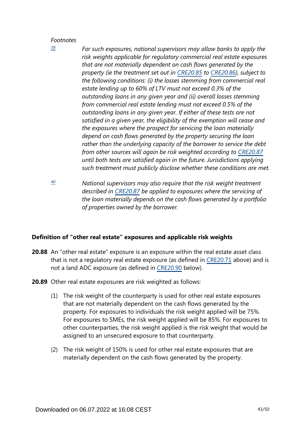<span id="page-42-0"></span>*[39](#page-41-1)*

*For such exposures, national supervisors may allow banks to apply the risk weights applicable for regulatory commercial real estate exposures that are not materially dependent on cash flows generated by the property (ie the treatment set out in [CRE20.85](https://www.bis.org/basel_framework/chapter/CRE/20.htm?tldate=20250101&inforce=20220101&published=20191215#paragraph_CRE_20_20220101_20_85) to [CRE20.86\)](https://www.bis.org/basel_framework/chapter/CRE/20.htm?tldate=20250101&inforce=20220101&published=20191215#paragraph_CRE_20_20220101_20_86), subject to the following conditions: (i) the losses stemming from commercial real estate lending up to 60% of LTV must not exceed 0.3% of the outstanding loans in any given year and (ii) overall losses stemming from commercial real estate lending must not exceed 0.5% of the outstanding loans in any given year. If either of these tests are not satisfied in a given year, the eligibility of the exemption will cease and the exposures where the prospect for servicing the loan materially depend on cash flows generated by the property securing the loan rather than the underlying capacity of the borrower to service the debt from other sources will again be risk weighted according to [CRE20.87](https://www.bis.org/basel_framework/chapter/CRE/20.htm?tldate=20250101&inforce=20220101&published=20191215#paragraph_CRE_20_20220101_20_87) until both tests are satisfied again in the future. Jurisdictions applying such treatment must publicly disclose whether these conditions are met.*

<span id="page-42-1"></span>*National supervisors may also require that the risk weight treatment described in [CRE20.87](https://www.bis.org/basel_framework/chapter/CRE/20.htm?tldate=20250101&inforce=20220101&published=20191215#paragraph_CRE_20_20220101_20_87) be applied to exposures where the servicing of the loan materially depends on the cash flows generated by a portfolio of properties owned by the borrower. [40](#page-41-2)*

# **Definition of "other real estate" exposures and applicable risk weights**

- **20.88** An "other real estate" exposure is an exposure within the real estate asset class that is not a regulatory real estate exposure (as defined in [CRE20.71](https://www.bis.org/basel_framework/chapter/CRE/20.htm?tldate=20250101&inforce=20220101&published=20191215#paragraph_CRE_20_20220101_20_71) above) and is not a land ADC exposure (as defined in [CRE20.90](https://www.bis.org/basel_framework/chapter/CRE/20.htm?tldate=20250101&inforce=20220101&published=20191215#paragraph_CRE_20_20220101_20_90) below).
- **20.89** Other real estate exposures are risk weighted as follows:
	- (1) The risk weight of the counterparty is used for other real estate exposures that are not materially dependent on the cash flows generated by the property. For exposures to individuals the risk weight applied will be 75%. For exposures to SMEs, the risk weight applied will be 85%. For exposures to other counterparties, the risk weight applied is the risk weight that would be assigned to an unsecured exposure to that counterparty.
	- (2) The risk weight of 150% is used for other real estate exposures that are materially dependent on the cash flows generated by the property.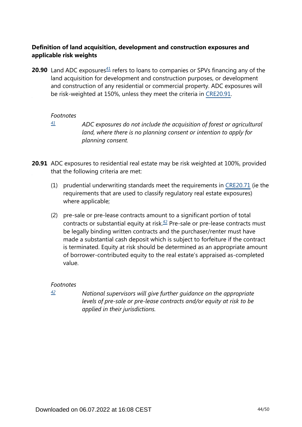# **Definition of land acquisition, development and construction exposures and applicable risk weights**

<span id="page-43-1"></span>**20.90** Land ADC exposures $41$  refers to loans to companies or SPVs financing any of the land acquisition for development and construction purposes, or development and construction of any residential or commercial property. ADC exposures will be risk-weighted at 150%, unless they meet the criteria in [CRE20.91.](https://www.bis.org/basel_framework/chapter/CRE/20.htm?tldate=20250101&inforce=20220101&published=20191215#paragraph_CRE_20_20220101_20_91)

### *Footnotes*

<span id="page-43-0"></span>*[41](#page-43-1)*

*ADC exposures do not include the acquisition of forest or agricultural land, where there is no planning consent or intention to apply for planning consent.*

**20.91** ADC exposures to residential real estate may be risk weighted at 100%, provided that the following criteria are met:

- (1) prudential underwriting standards meet the requirements in [CRE20.71](https://www.bis.org/basel_framework/chapter/CRE/20.htm?tldate=20250101&inforce=20220101&published=20191215#paragraph_CRE_20_20220101_20_71) (ie the requirements that are used to classify regulatory real estate exposures) where applicable;
- <span id="page-43-3"></span>(2) pre-sale or pre-lease contracts amount to a significant portion of total contracts or substantial equity at risk. $42$  Pre-sale or pre-lease contracts must be legally binding written contracts and the purchaser/renter must have made a substantial cash deposit which is subject to forfeiture if the contract is terminated. Equity at risk should be determined as an appropriate amount of borrower-contributed equity to the real estate's appraised as-completed value.

# *Footnotes*

<span id="page-43-2"></span>*[42](#page-43-3)*

*National supervisors will give further guidance on the appropriate levels of pre-sale or pre-lease contracts and/or equity at risk to be applied in their jurisdictions.*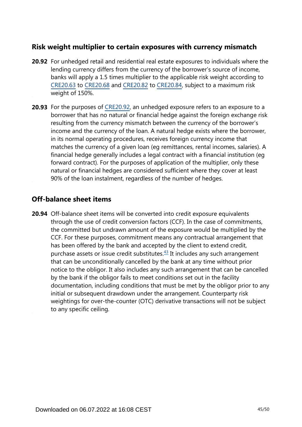# **Risk weight multiplier to certain exposures with currency mismatch**

- **20.92** For unhedged retail and residential real estate exposures to individuals where the lending currency differs from the currency of the borrower's source of income, banks will apply a 1.5 times multiplier to the applicable risk weight according to [CRE20.63](https://www.bis.org/basel_framework/chapter/CRE/20.htm?tldate=20250101&inforce=20220101&published=20191215#paragraph_CRE_20_20220101_20_63) to [CRE20.68](https://www.bis.org/basel_framework/chapter/CRE/20.htm?tldate=20250101&inforce=20220101&published=20191215#paragraph_CRE_20_20220101_20_68) and [CRE20.82](https://www.bis.org/basel_framework/chapter/CRE/20.htm?tldate=20250101&inforce=20220101&published=20191215#paragraph_CRE_20_20220101_20_82) to [CRE20.84,](https://www.bis.org/basel_framework/chapter/CRE/20.htm?tldate=20250101&inforce=20220101&published=20191215#paragraph_CRE_20_20220101_20_84) subject to a maximum risk weight of 150%.
- **20.93** For the purposes of [CRE20.92,](https://www.bis.org/basel_framework/chapter/CRE/20.htm?tldate=20250101&inforce=20220101&published=20191215#paragraph_CRE_20_20220101_20_92) an unhedged exposure refers to an exposure to a borrower that has no natural or financial hedge against the foreign exchange risk resulting from the currency mismatch between the currency of the borrower's income and the currency of the loan. A natural hedge exists where the borrower, in its normal operating procedures, receives foreign currency income that matches the currency of a given loan (eg remittances, rental incomes, salaries). A financial hedge generally includes a legal contract with a financial institution (eg forward contract). For the purposes of application of the multiplier, only these natural or financial hedges are considered sufficient where they cover at least 90% of the loan instalment, regardless of the number of hedges.

# **Off-balance sheet items**

<span id="page-44-0"></span>**20.94** Off-balance sheet items will be converted into credit exposure equivalents through the use of credit conversion factors (CCF). In the case of commitments, the committed but undrawn amount of the exposure would be multiplied by the CCF. For these purposes, commitment means any contractual arrangement that has been offered by the bank and accepted by the client to extend credit, purchase assets or issue credit substitutes. $43$  It includes any such arrangement that can be unconditionally cancelled by the bank at any time without prior notice to the obligor. It also includes any such arrangement that can be cancelled by the bank if the obligor fails to meet conditions set out in the facility documentation, including conditions that must be met by the obligor prior to any initial or subsequent drawdown under the arrangement. Counterparty risk weightings for over-the-counter (OTC) derivative transactions will not be subject to any specific ceiling.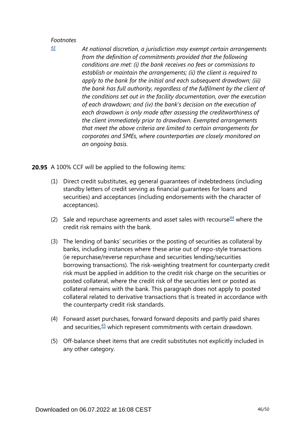*At national discretion, a jurisdiction may exempt certain arrangements from the definition of commitments provided that the following conditions are met: (i) the bank receives no fees or commissions to establish or maintain the arrangements; (ii) the client is required to apply to the bank for the initial and each subsequent drawdown; (iii) the bank has full authority, regardless of the fulfilment by the client of the conditions set out in the facility documentation, over the execution of each drawdown; and (iv) the bank's decision on the execution of each drawdown is only made after assessing the creditworthiness of the client immediately prior to drawdown. Exempted arrangements that meet the above criteria are limited to certain arrangements for corporates and SMEs, where counterparties are closely monitored on an ongoing basis.*

**20.95** A 100% CCF will be applied to the following items:

- (1) Direct credit substitutes, eg general guarantees of indebtedness (including standby letters of credit serving as financial guarantees for loans and securities) and acceptances (including endorsements with the character of acceptances).
- <span id="page-45-1"></span>(2) Sale and repurchase agreements and asset sales with recourse  $44$  where the credit risk remains with the bank.
- (3) The lending of banks' securities or the posting of securities as collateral by banks, including instances where these arise out of repo-style transactions (ie repurchase/reverse repurchase and securities lending/securities borrowing transactions). The risk-weighting treatment for counterparty credit risk must be applied in addition to the credit risk charge on the securities or posted collateral, where the credit risk of the securities lent or posted as collateral remains with the bank. This paragraph does not apply to posted collateral related to derivative transactions that is treated in accordance with the counterparty credit risk standards.
- <span id="page-45-2"></span>(4) Forward asset purchases, forward forward deposits and partly paid shares and securities, $45$  which represent commitments with certain drawdown.
- (5) Off-balance sheet items that are credit substitutes not explicitly included in any other category.

<span id="page-45-0"></span>*[<sup>43</sup>](#page-44-0)*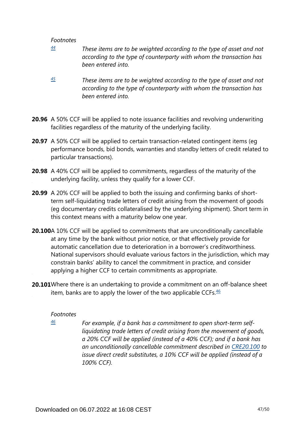- <span id="page-46-0"></span>*These items are to be weighted according to the type of asset and not according to the type of counterparty with whom the transaction has been entered into. [44](#page-45-1)*
- <span id="page-46-1"></span>*These items are to be weighted according to the type of asset and not according to the type of counterparty with whom the transaction has been entered into. [45](#page-45-2)*
- **20.96** A 50% CCF will be applied to note issuance facilities and revolving underwriting facilities regardless of the maturity of the underlying facility.
- **20.97** A 50% CCF will be applied to certain transaction-related contingent items (eg performance bonds, bid bonds, warranties and standby letters of credit related to particular transactions).
- **20.98** A 40% CCF will be applied to commitments, regardless of the maturity of the underlying facility, unless they qualify for a lower CCF.
- **20.99** A 20% CCF will be applied to both the issuing and confirming banks of shortterm self-liquidating trade letters of credit arising from the movement of goods (eg documentary credits collateralised by the underlying shipment). Short term in this context means with a maturity below one year.
- **20.100**A 10% CCF will be applied to commitments that are unconditionally cancellable at any time by the bank without prior notice, or that effectively provide for automatic cancellation due to deterioration in a borrower's creditworthiness. National supervisors should evaluate various factors in the jurisdiction, which may constrain banks' ability to cancel the commitment in practice, and consider applying a higher CCF to certain commitments as appropriate.
- <span id="page-46-3"></span><span id="page-46-2"></span>**20.101**Where there is an undertaking to provide a commitment on an off-balance sheet item, banks are to apply the lower of the two applicable CCFs. $46$

#### *Footnotes*

*[46](#page-46-3)*

*For example, if a bank has a commitment to open short-term selfliquidating trade letters of credit arising from the movement of goods, a 20% CCF will be applied (instead of a 40% CCF); and if a bank has an unconditionally cancellable commitment described in [CRE20.100](https://www.bis.org/basel_framework/chapter/CRE/20.htm?tldate=20250101&inforce=20220101&published=20191215#paragraph_CRE_20_20220101_20_100) to issue direct credit substitutes, a 10% CCF will be applied (instead of a 100% CCF).*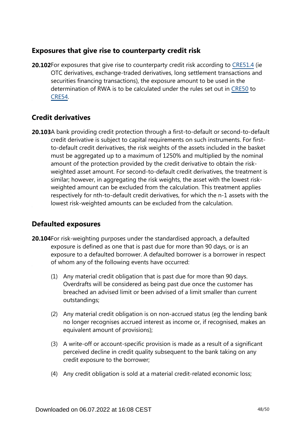# **Exposures that give rise to counterparty credit risk**

**20.102**For exposures that give rise to counterparty credit risk according to [CRE51.4](https://www.bis.org/basel_framework/chapter/CRE/51.htm?tldate=20250101&inforce=20230101&published=20200327#paragraph_CRE_51_20230101_51_4) (ie OTC derivatives, exchange-traded derivatives, long settlement transactions and securities financing transactions), the exposure amount to be used in the determination of RWA is to be calculated under the rules set out in [CRE50](https://www.bis.org/basel_framework/chapter/CRE/50.htm?tldate=20250101&inforce=20191215&published=20191215) to [CRE54.](https://www.bis.org/basel_framework/chapter/CRE/54.htm?tldate=20250101&inforce=20230101&published=20200327)

# **Credit derivatives**

**20.103**A bank providing credit protection through a first-to-default or second-to-default credit derivative is subject to capital requirements on such instruments. For firstto-default credit derivatives, the risk weights of the assets included in the basket must be aggregated up to a maximum of 1250% and multiplied by the nominal amount of the protection provided by the credit derivative to obtain the riskweighted asset amount. For second-to-default credit derivatives, the treatment is similar; however, in aggregating the risk weights, the asset with the lowest riskweighted amount can be excluded from the calculation. This treatment applies respectively for nth-to-default credit derivatives, for which the n-1 assets with the lowest risk-weighted amounts can be excluded from the calculation.

# **Defaulted exposures**

- **20.104** For risk-weighting purposes under the standardised approach, a defaulted exposure is defined as one that is past due for more than 90 days, or is an exposure to a defaulted borrower. A defaulted borrower is a borrower in respect of whom any of the following events have occurred:
	- (1) Any material credit obligation that is past due for more than 90 days. Overdrafts will be considered as being past due once the customer has breached an advised limit or been advised of a limit smaller than current outstandings;
	- (2) Any material credit obligation is on non-accrued status (eg the lending bank no longer recognises accrued interest as income or, if recognised, makes an equivalent amount of provisions);
	- (3) A write-off or account-specific provision is made as a result of a significant perceived decline in credit quality subsequent to the bank taking on any credit exposure to the borrower;
	- (4) Any credit obligation is sold at a material credit-related economic loss;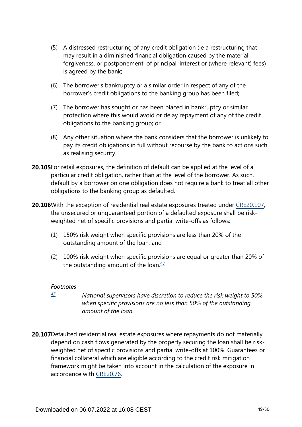- (5) A distressed restructuring of any credit obligation (ie a restructuring that may result in a diminished financial obligation caused by the material forgiveness, or postponement, of principal, interest or (where relevant) fees) is agreed by the bank;
- (6) The borrower's bankruptcy or a similar order in respect of any of the borrower's credit obligations to the banking group has been filed;
- (7) The borrower has sought or has been placed in bankruptcy or similar protection where this would avoid or delay repayment of any of the credit obligations to the banking group; or
- (8) Any other situation where the bank considers that the borrower is unlikely to pay its credit obligations in full without recourse by the bank to actions such as realising security.
- **20.105**For retail exposures, the definition of default can be applied at the level of a particular credit obligation, rather than at the level of the borrower. As such, default by a borrower on one obligation does not require a bank to treat all other obligations to the banking group as defaulted.
- **20.106** With the exception of residential real estate exposures treated under [CRE20.107,](https://www.bis.org/basel_framework/chapter/CRE/20.htm?tldate=20250101&inforce=20220101&published=20191215#paragraph_CRE_20_20220101_20_107) the unsecured or unguaranteed portion of a defaulted exposure shall be riskweighted net of specific provisions and partial write-offs as follows:
	- (1) 150% risk weight when specific provisions are less than 20% of the outstanding amount of the loan; and
	- (2) 100% risk weight when specific provisions are equal or greater than 20% of the outstanding amount of the loan. $\frac{47}{2}$  $\frac{47}{2}$  $\frac{47}{2}$

- <span id="page-48-1"></span><span id="page-48-0"></span>*National supervisors have discretion to reduce the risk weight to 50% when specific provisions are no less than 50% of the outstanding amount of the loan. [47](#page-48-1)*
- **20.107**Defaulted residential real estate exposures where repayments do not materially depend on cash flows generated by the property securing the loan shall be riskweighted net of specific provisions and partial write-offs at 100%. Guarantees or financial collateral which are eligible according to the credit risk mitigation framework might be taken into account in the calculation of the exposure in accordance with [CRE20.76](https://www.bis.org/basel_framework/chapter/CRE/20.htm?tldate=20250101&inforce=20220101&published=20191215#paragraph_CRE_20_20220101_20_76).